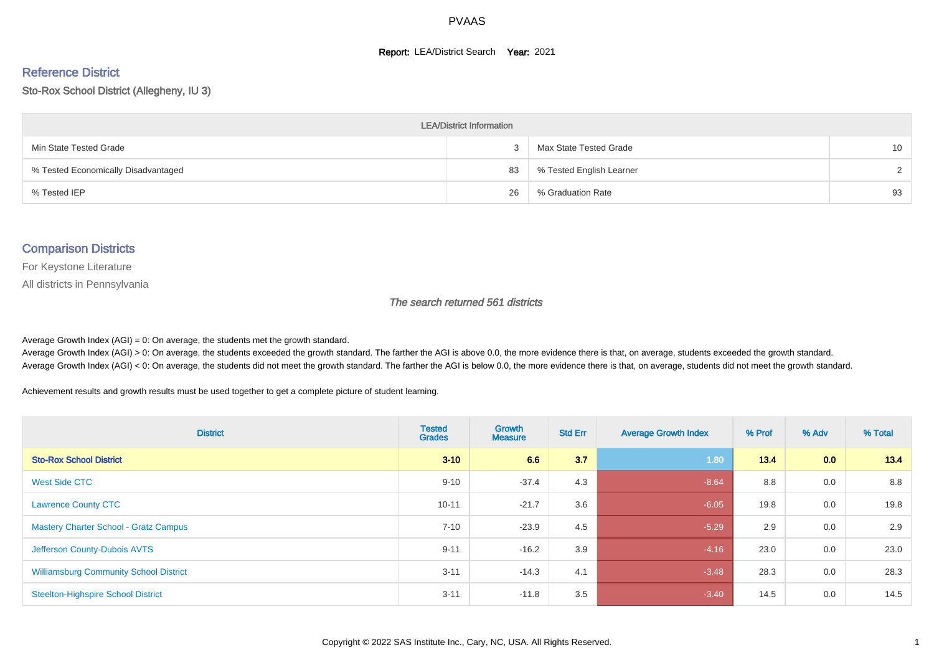#### **Report: LEA/District Search Year: 2021**

#### Reference District

Sto-Rox School District (Allegheny, IU 3)

| <b>LEA/District Information</b>     |    |                          |                 |  |  |  |  |  |  |  |
|-------------------------------------|----|--------------------------|-----------------|--|--|--|--|--|--|--|
| Min State Tested Grade              |    | Max State Tested Grade   | 10 <sup>°</sup> |  |  |  |  |  |  |  |
| % Tested Economically Disadvantaged | 83 | % Tested English Learner | $\mathcal{D}$   |  |  |  |  |  |  |  |
| % Tested IEP                        | 26 | % Graduation Rate        | 93              |  |  |  |  |  |  |  |

#### Comparison Districts

For Keystone Literature

All districts in Pennsylvania

The search returned 561 districts

Average Growth Index  $(AGI) = 0$ : On average, the students met the growth standard.

Average Growth Index (AGI) > 0: On average, the students exceeded the growth standard. The farther the AGI is above 0.0, the more evidence there is that, on average, students exceeded the growth standard. Average Growth Index (AGI) < 0: On average, the students did not meet the growth standard. The farther the AGI is below 0.0, the more evidence there is that, on average, students did not meet the growth standard.

Achievement results and growth results must be used together to get a complete picture of student learning.

| <b>District</b>                               | <b>Tested</b><br><b>Grades</b> | <b>Growth</b><br><b>Measure</b> | <b>Std Err</b> | <b>Average Growth Index</b> | % Prof | % Adv | % Total |
|-----------------------------------------------|--------------------------------|---------------------------------|----------------|-----------------------------|--------|-------|---------|
| <b>Sto-Rox School District</b>                | $3 - 10$                       | 6.6                             | 3.7            | 1.80                        | 13.4   | 0.0   | 13.4    |
| <b>West Side CTC</b>                          | $9 - 10$                       | $-37.4$                         | 4.3            | $-8.64$                     | 8.8    | 0.0   | 8.8     |
| <b>Lawrence County CTC</b>                    | $10 - 11$                      | $-21.7$                         | 3.6            | $-6.05$                     | 19.8   | 0.0   | 19.8    |
| <b>Mastery Charter School - Gratz Campus</b>  | $7 - 10$                       | $-23.9$                         | 4.5            | $-5.29$                     | 2.9    | 0.0   | 2.9     |
| Jefferson County-Dubois AVTS                  | $9 - 11$                       | $-16.2$                         | 3.9            | $-4.16$                     | 23.0   | 0.0   | 23.0    |
| <b>Williamsburg Community School District</b> | $3 - 11$                       | $-14.3$                         | 4.1            | $-3.48$                     | 28.3   | 0.0   | 28.3    |
| <b>Steelton-Highspire School District</b>     | $3 - 11$                       | $-11.8$                         | 3.5            | $-3.40$                     | 14.5   | 0.0   | 14.5    |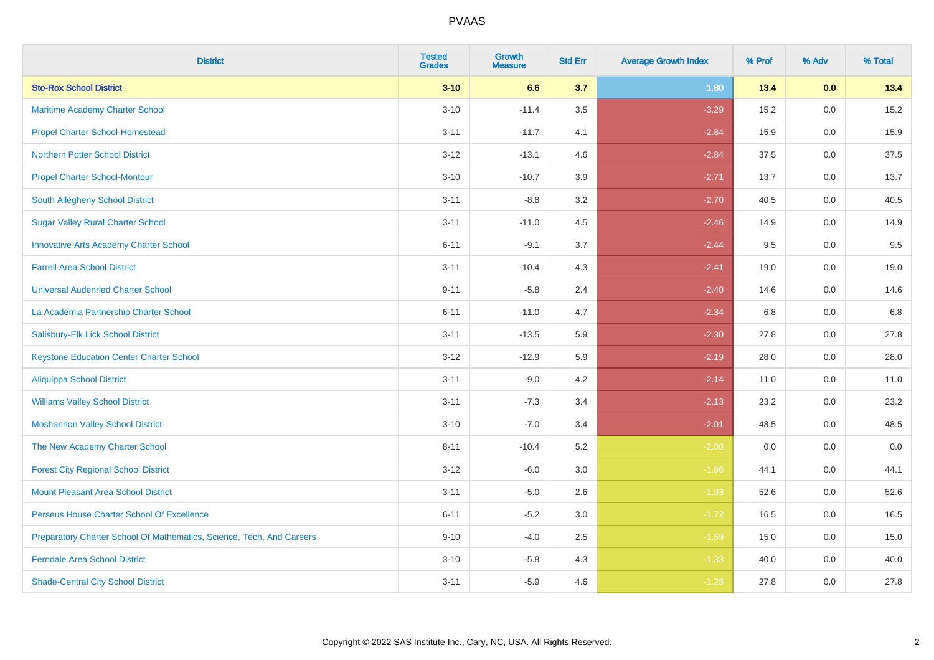| <b>District</b>                                                       | <b>Tested</b><br><b>Grades</b> | Growth<br><b>Measure</b> | <b>Std Err</b> | <b>Average Growth Index</b> | % Prof | % Adv | % Total |
|-----------------------------------------------------------------------|--------------------------------|--------------------------|----------------|-----------------------------|--------|-------|---------|
| <b>Sto-Rox School District</b>                                        | $3 - 10$                       | 6.6                      | 3.7            | 1.80                        | 13.4   | 0.0   | 13.4    |
| <b>Maritime Academy Charter School</b>                                | $3 - 10$                       | $-11.4$                  | 3.5            | $-3.29$                     | 15.2   | 0.0   | 15.2    |
| <b>Propel Charter School-Homestead</b>                                | $3 - 11$                       | $-11.7$                  | 4.1            | $-2.84$                     | 15.9   | 0.0   | 15.9    |
| <b>Northern Potter School District</b>                                | $3 - 12$                       | $-13.1$                  | 4.6            | $-2.84$                     | 37.5   | 0.0   | 37.5    |
| <b>Propel Charter School-Montour</b>                                  | $3 - 10$                       | $-10.7$                  | 3.9            | $-2.71$                     | 13.7   | 0.0   | 13.7    |
| South Allegheny School District                                       | $3 - 11$                       | $-8.8$                   | 3.2            | $-2.70$                     | 40.5   | 0.0   | 40.5    |
| <b>Sugar Valley Rural Charter School</b>                              | $3 - 11$                       | $-11.0$                  | 4.5            | $-2.46$                     | 14.9   | 0.0   | 14.9    |
| <b>Innovative Arts Academy Charter School</b>                         | $6 - 11$                       | $-9.1$                   | 3.7            | $-2.44$                     | 9.5    | 0.0   | 9.5     |
| <b>Farrell Area School District</b>                                   | $3 - 11$                       | $-10.4$                  | 4.3            | $-2.41$                     | 19.0   | 0.0   | 19.0    |
| <b>Universal Audenried Charter School</b>                             | $9 - 11$                       | $-5.8$                   | 2.4            | $-2.40$                     | 14.6   | 0.0   | 14.6    |
| La Academia Partnership Charter School                                | $6 - 11$                       | $-11.0$                  | 4.7            | $-2.34$                     | 6.8    | 0.0   | 6.8     |
| Salisbury-Elk Lick School District                                    | $3 - 11$                       | $-13.5$                  | 5.9            | $-2.30$                     | 27.8   | 0.0   | 27.8    |
| <b>Keystone Education Center Charter School</b>                       | $3 - 12$                       | $-12.9$                  | 5.9            | $-2.19$                     | 28.0   | 0.0   | 28.0    |
| Aliquippa School District                                             | $3 - 11$                       | $-9.0$                   | 4.2            | $-2.14$                     | 11.0   | 0.0   | 11.0    |
| <b>Williams Valley School District</b>                                | $3 - 11$                       | $-7.3$                   | 3.4            | $-2.13$                     | 23.2   | 0.0   | 23.2    |
| <b>Moshannon Valley School District</b>                               | $3 - 10$                       | $-7.0$                   | 3.4            | $-2.01$                     | 48.5   | 0.0   | 48.5    |
| The New Academy Charter School                                        | $8 - 11$                       | $-10.4$                  | 5.2            | $-2.00$                     | 0.0    | 0.0   | $0.0\,$ |
| <b>Forest City Regional School District</b>                           | $3 - 12$                       | $-6.0$                   | 3.0            | $-1.96$                     | 44.1   | 0.0   | 44.1    |
| <b>Mount Pleasant Area School District</b>                            | $3 - 11$                       | $-5.0$                   | 2.6            | $-1.93$                     | 52.6   | 0.0   | 52.6    |
| Perseus House Charter School Of Excellence                            | $6 - 11$                       | $-5.2$                   | 3.0            | $-1.72$                     | 16.5   | 0.0   | 16.5    |
| Preparatory Charter School Of Mathematics, Science, Tech, And Careers | $9 - 10$                       | $-4.0$                   | 2.5            | $-1.59$                     | 15.0   | 0.0   | 15.0    |
| <b>Ferndale Area School District</b>                                  | $3 - 10$                       | $-5.8$                   | 4.3            | $-1.33$                     | 40.0   | 0.0   | 40.0    |
| <b>Shade-Central City School District</b>                             | $3 - 11$                       | $-5.9$                   | 4.6            | $-1.28$                     | 27.8   | 0.0   | 27.8    |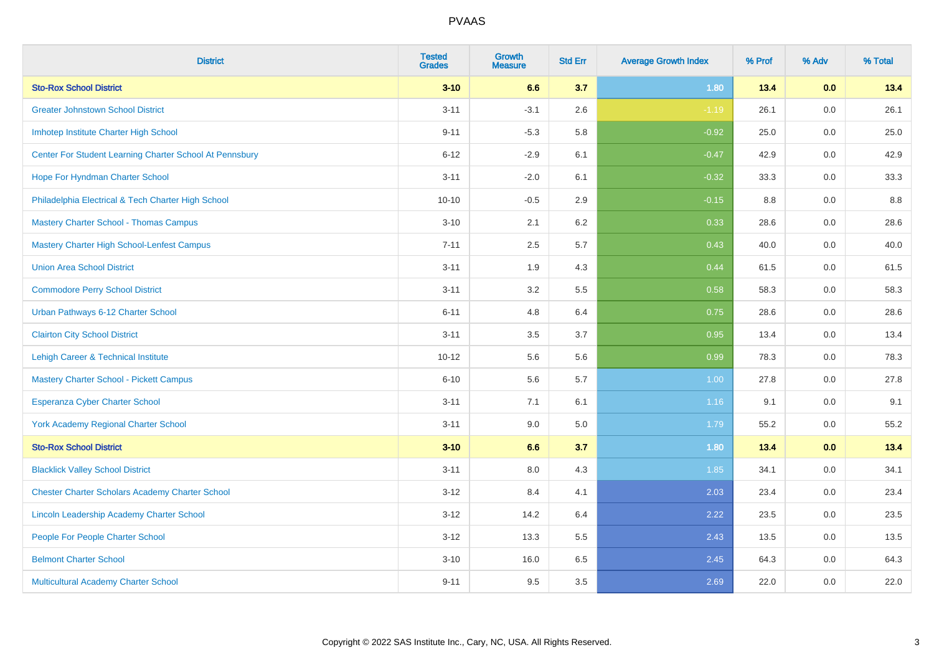| <b>District</b>                                         | <b>Tested</b><br><b>Grades</b> | <b>Growth</b><br><b>Measure</b> | <b>Std Err</b> | <b>Average Growth Index</b> | % Prof | % Adv   | % Total |
|---------------------------------------------------------|--------------------------------|---------------------------------|----------------|-----------------------------|--------|---------|---------|
| <b>Sto-Rox School District</b>                          | $3 - 10$                       | 6.6                             | 3.7            | 1.80                        | 13.4   | 0.0     | 13.4    |
| <b>Greater Johnstown School District</b>                | $3 - 11$                       | $-3.1$                          | 2.6            | $-1.19$                     | 26.1   | 0.0     | 26.1    |
| Imhotep Institute Charter High School                   | $9 - 11$                       | $-5.3$                          | 5.8            | $-0.92$                     | 25.0   | 0.0     | 25.0    |
| Center For Student Learning Charter School At Pennsbury | $6 - 12$                       | $-2.9$                          | 6.1            | $-0.47$                     | 42.9   | 0.0     | 42.9    |
| Hope For Hyndman Charter School                         | $3 - 11$                       | $-2.0$                          | 6.1            | $-0.32$                     | 33.3   | 0.0     | 33.3    |
| Philadelphia Electrical & Tech Charter High School      | $10 - 10$                      | $-0.5$                          | 2.9            | $-0.15$                     | 8.8    | 0.0     | 8.8     |
| <b>Mastery Charter School - Thomas Campus</b>           | $3 - 10$                       | 2.1                             | 6.2            | 0.33                        | 28.6   | 0.0     | 28.6    |
| <b>Mastery Charter High School-Lenfest Campus</b>       | $7 - 11$                       | 2.5                             | 5.7            | 0.43                        | 40.0   | 0.0     | 40.0    |
| <b>Union Area School District</b>                       | $3 - 11$                       | 1.9                             | 4.3            | 0.44                        | 61.5   | 0.0     | 61.5    |
| <b>Commodore Perry School District</b>                  | $3 - 11$                       | 3.2                             | 5.5            | 0.58                        | 58.3   | 0.0     | 58.3    |
| Urban Pathways 6-12 Charter School                      | $6 - 11$                       | 4.8                             | 6.4            | 0.75                        | 28.6   | 0.0     | 28.6    |
| <b>Clairton City School District</b>                    | $3 - 11$                       | 3.5                             | 3.7            | 0.95                        | 13.4   | 0.0     | 13.4    |
| Lehigh Career & Technical Institute                     | $10 - 12$                      | 5.6                             | 5.6            | 0.99                        | 78.3   | 0.0     | 78.3    |
| <b>Mastery Charter School - Pickett Campus</b>          | $6 - 10$                       | 5.6                             | 5.7            | 1.00                        | 27.8   | 0.0     | 27.8    |
| <b>Esperanza Cyber Charter School</b>                   | $3 - 11$                       | 7.1                             | 6.1            | 1.16                        | 9.1    | $0.0\,$ | 9.1     |
| York Academy Regional Charter School                    | $3 - 11$                       | 9.0                             | 5.0            | 1.79                        | 55.2   | 0.0     | 55.2    |
| <b>Sto-Rox School District</b>                          | $3 - 10$                       | 6.6                             | 3.7            | 1.80                        | 13.4   | 0.0     | 13.4    |
| <b>Blacklick Valley School District</b>                 | $3 - 11$                       | 8.0                             | 4.3            | 1.85                        | 34.1   | $0.0\,$ | 34.1    |
| <b>Chester Charter Scholars Academy Charter School</b>  | $3 - 12$                       | 8.4                             | 4.1            | 2.03                        | 23.4   | 0.0     | 23.4    |
| Lincoln Leadership Academy Charter School               | $3 - 12$                       | 14.2                            | 6.4            | 2.22                        | 23.5   | 0.0     | 23.5    |
| People For People Charter School                        | $3 - 12$                       | 13.3                            | 5.5            | 2.43                        | 13.5   | 0.0     | 13.5    |
| <b>Belmont Charter School</b>                           | $3 - 10$                       | 16.0                            | 6.5            | 2.45                        | 64.3   | 0.0     | 64.3    |
| Multicultural Academy Charter School                    | $9 - 11$                       | 9.5                             | 3.5            | 2.69                        | 22.0   | $0.0\,$ | 22.0    |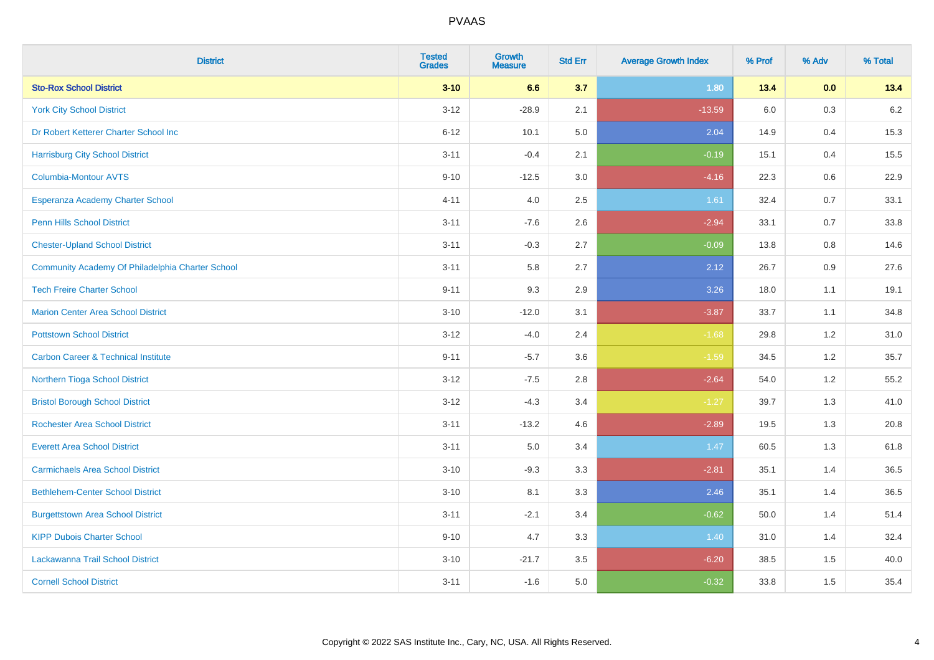| <b>District</b>                                  | <b>Tested</b><br><b>Grades</b> | <b>Growth</b><br><b>Measure</b> | <b>Std Err</b> | <b>Average Growth Index</b> | % Prof  | % Adv   | % Total |
|--------------------------------------------------|--------------------------------|---------------------------------|----------------|-----------------------------|---------|---------|---------|
| <b>Sto-Rox School District</b>                   | $3 - 10$                       | 6.6                             | 3.7            | 1.80                        | 13.4    | 0.0     | 13.4    |
| <b>York City School District</b>                 | $3 - 12$                       | $-28.9$                         | 2.1            | $-13.59$                    | $6.0\,$ | $0.3\,$ | $6.2\,$ |
| Dr Robert Ketterer Charter School Inc            | $6 - 12$                       | 10.1                            | 5.0            | 2.04                        | 14.9    | 0.4     | 15.3    |
| <b>Harrisburg City School District</b>           | $3 - 11$                       | $-0.4$                          | 2.1            | $-0.19$                     | 15.1    | 0.4     | 15.5    |
| <b>Columbia-Montour AVTS</b>                     | $9 - 10$                       | $-12.5$                         | 3.0            | $-4.16$                     | 22.3    | 0.6     | 22.9    |
| Esperanza Academy Charter School                 | $4 - 11$                       | 4.0                             | 2.5            | 1.61                        | 32.4    | 0.7     | 33.1    |
| <b>Penn Hills School District</b>                | $3 - 11$                       | $-7.6$                          | 2.6            | $-2.94$                     | 33.1    | 0.7     | 33.8    |
| <b>Chester-Upland School District</b>            | $3 - 11$                       | $-0.3$                          | 2.7            | $-0.09$                     | 13.8    | 0.8     | 14.6    |
| Community Academy Of Philadelphia Charter School | $3 - 11$                       | 5.8                             | 2.7            | 2.12                        | 26.7    | 0.9     | 27.6    |
| <b>Tech Freire Charter School</b>                | $9 - 11$                       | 9.3                             | 2.9            | 3.26                        | 18.0    | 1.1     | 19.1    |
| <b>Marion Center Area School District</b>        | $3 - 10$                       | $-12.0$                         | 3.1            | $-3.87$                     | 33.7    | 1.1     | 34.8    |
| <b>Pottstown School District</b>                 | $3 - 12$                       | $-4.0$                          | 2.4            | $-1.68$                     | 29.8    | 1.2     | 31.0    |
| <b>Carbon Career &amp; Technical Institute</b>   | $9 - 11$                       | $-5.7$                          | 3.6            | $-1.59$                     | 34.5    | $1.2\,$ | 35.7    |
| Northern Tioga School District                   | $3 - 12$                       | $-7.5$                          | 2.8            | $-2.64$                     | 54.0    | 1.2     | 55.2    |
| <b>Bristol Borough School District</b>           | $3 - 12$                       | $-4.3$                          | 3.4            | $-1.27$                     | 39.7    | 1.3     | 41.0    |
| <b>Rochester Area School District</b>            | $3 - 11$                       | $-13.2$                         | 4.6            | $-2.89$                     | 19.5    | 1.3     | 20.8    |
| <b>Everett Area School District</b>              | $3 - 11$                       | 5.0                             | 3.4            | 1.47                        | 60.5    | 1.3     | 61.8    |
| <b>Carmichaels Area School District</b>          | $3 - 10$                       | $-9.3$                          | 3.3            | $-2.81$                     | 35.1    | 1.4     | 36.5    |
| <b>Bethlehem-Center School District</b>          | $3 - 10$                       | 8.1                             | 3.3            | 2.46                        | 35.1    | 1.4     | 36.5    |
| <b>Burgettstown Area School District</b>         | $3 - 11$                       | $-2.1$                          | 3.4            | $-0.62$                     | 50.0    | 1.4     | 51.4    |
| <b>KIPP Dubois Charter School</b>                | $9 - 10$                       | 4.7                             | 3.3            | 1.40                        | 31.0    | 1.4     | 32.4    |
| Lackawanna Trail School District                 | $3 - 10$                       | $-21.7$                         | 3.5            | $-6.20$                     | 38.5    | 1.5     | 40.0    |
| <b>Cornell School District</b>                   | $3 - 11$                       | $-1.6$                          | 5.0            | $-0.32$                     | 33.8    | 1.5     | 35.4    |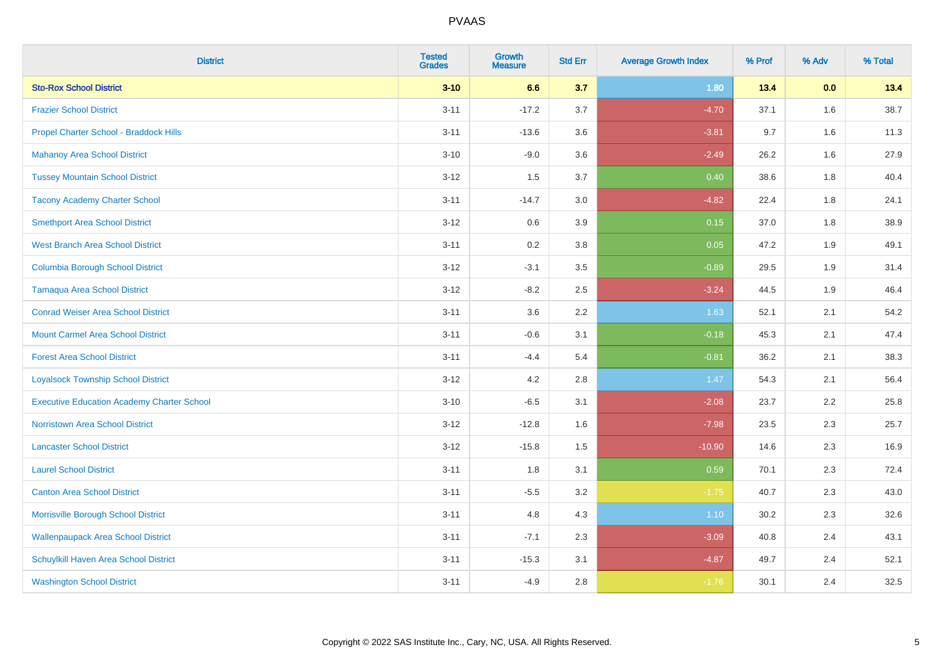| <b>District</b>                                   | <b>Tested</b><br><b>Grades</b> | <b>Growth</b><br><b>Measure</b> | <b>Std Err</b> | <b>Average Growth Index</b> | % Prof | % Adv | % Total |
|---------------------------------------------------|--------------------------------|---------------------------------|----------------|-----------------------------|--------|-------|---------|
| <b>Sto-Rox School District</b>                    | $3 - 10$                       | 6.6                             | 3.7            | 1.80                        | 13.4   | 0.0   | 13.4    |
| <b>Frazier School District</b>                    | $3 - 11$                       | $-17.2$                         | 3.7            | $-4.70$                     | 37.1   | 1.6   | 38.7    |
| Propel Charter School - Braddock Hills            | $3 - 11$                       | $-13.6$                         | 3.6            | $-3.81$                     | 9.7    | 1.6   | 11.3    |
| <b>Mahanoy Area School District</b>               | $3 - 10$                       | $-9.0$                          | 3.6            | $-2.49$                     | 26.2   | 1.6   | 27.9    |
| <b>Tussey Mountain School District</b>            | $3 - 12$                       | 1.5                             | 3.7            | 0.40                        | 38.6   | 1.8   | 40.4    |
| <b>Tacony Academy Charter School</b>              | $3 - 11$                       | $-14.7$                         | 3.0            | $-4.82$                     | 22.4   | 1.8   | 24.1    |
| <b>Smethport Area School District</b>             | $3 - 12$                       | 0.6                             | 3.9            | 0.15                        | 37.0   | 1.8   | 38.9    |
| <b>West Branch Area School District</b>           | $3 - 11$                       | 0.2                             | 3.8            | 0.05                        | 47.2   | 1.9   | 49.1    |
| <b>Columbia Borough School District</b>           | $3 - 12$                       | $-3.1$                          | 3.5            | $-0.89$                     | 29.5   | 1.9   | 31.4    |
| <b>Tamaqua Area School District</b>               | $3 - 12$                       | $-8.2$                          | 2.5            | $-3.24$                     | 44.5   | 1.9   | 46.4    |
| <b>Conrad Weiser Area School District</b>         | $3 - 11$                       | 3.6                             | 2.2            | 1.63                        | 52.1   | 2.1   | 54.2    |
| <b>Mount Carmel Area School District</b>          | $3 - 11$                       | $-0.6$                          | 3.1            | $-0.18$                     | 45.3   | 2.1   | 47.4    |
| <b>Forest Area School District</b>                | $3 - 11$                       | $-4.4$                          | 5.4            | $-0.81$                     | 36.2   | 2.1   | 38.3    |
| <b>Loyalsock Township School District</b>         | $3 - 12$                       | 4.2                             | 2.8            | 1.47                        | 54.3   | 2.1   | 56.4    |
| <b>Executive Education Academy Charter School</b> | $3 - 10$                       | $-6.5$                          | 3.1            | $-2.08$                     | 23.7   | 2.2   | 25.8    |
| Norristown Area School District                   | $3 - 12$                       | $-12.8$                         | 1.6            | $-7.98$                     | 23.5   | 2.3   | 25.7    |
| <b>Lancaster School District</b>                  | $3 - 12$                       | $-15.8$                         | 1.5            | $-10.90$                    | 14.6   | 2.3   | 16.9    |
| <b>Laurel School District</b>                     | $3 - 11$                       | 1.8                             | 3.1            | 0.59                        | 70.1   | 2.3   | 72.4    |
| <b>Canton Area School District</b>                | $3 - 11$                       | $-5.5$                          | 3.2            | $-1.75$                     | 40.7   | 2.3   | 43.0    |
| Morrisville Borough School District               | $3 - 11$                       | 4.8                             | 4.3            | 1.10                        | 30.2   | 2.3   | 32.6    |
| <b>Wallenpaupack Area School District</b>         | $3 - 11$                       | $-7.1$                          | 2.3            | $-3.09$                     | 40.8   | 2.4   | 43.1    |
| Schuylkill Haven Area School District             | $3 - 11$                       | $-15.3$                         | 3.1            | $-4.87$                     | 49.7   | 2.4   | 52.1    |
| <b>Washington School District</b>                 | $3 - 11$                       | $-4.9$                          | 2.8            | $-1.76$                     | 30.1   | 2.4   | 32.5    |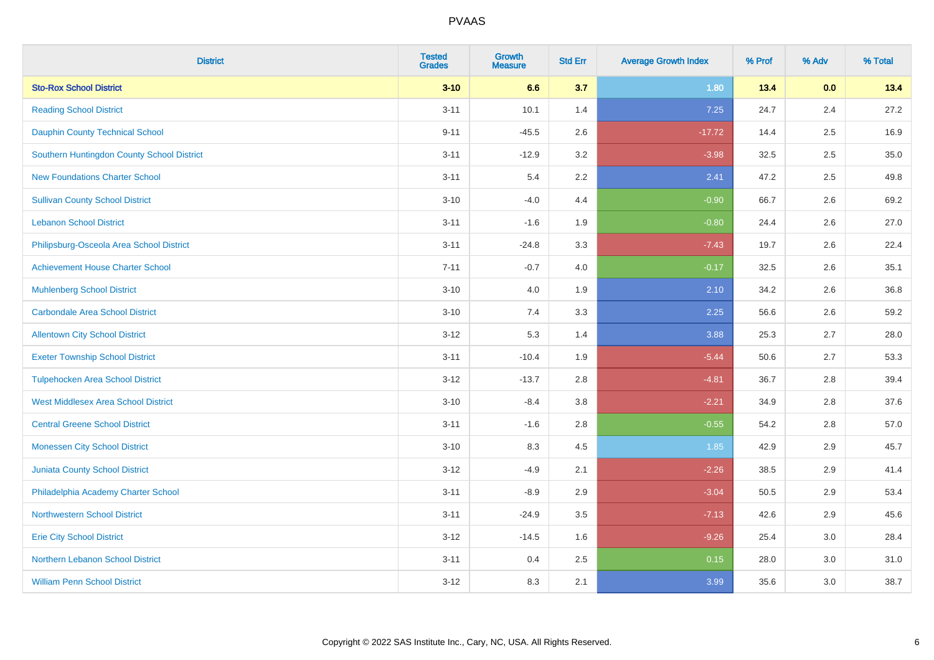| <b>District</b>                            | <b>Tested</b><br><b>Grades</b> | <b>Growth</b><br><b>Measure</b> | <b>Std Err</b> | <b>Average Growth Index</b> | % Prof | % Adv | % Total |
|--------------------------------------------|--------------------------------|---------------------------------|----------------|-----------------------------|--------|-------|---------|
| <b>Sto-Rox School District</b>             | $3 - 10$                       | 6.6                             | 3.7            | 1.80                        | 13.4   | 0.0   | 13.4    |
| <b>Reading School District</b>             | $3 - 11$                       | 10.1                            | 1.4            | 7.25                        | 24.7   | 2.4   | 27.2    |
| <b>Dauphin County Technical School</b>     | $9 - 11$                       | $-45.5$                         | 2.6            | $-17.72$                    | 14.4   | 2.5   | 16.9    |
| Southern Huntingdon County School District | $3 - 11$                       | $-12.9$                         | 3.2            | $-3.98$                     | 32.5   | 2.5   | 35.0    |
| <b>New Foundations Charter School</b>      | $3 - 11$                       | 5.4                             | 2.2            | 2.41                        | 47.2   | 2.5   | 49.8    |
| <b>Sullivan County School District</b>     | $3 - 10$                       | $-4.0$                          | 4.4            | $-0.90$                     | 66.7   | 2.6   | 69.2    |
| <b>Lebanon School District</b>             | $3 - 11$                       | $-1.6$                          | 1.9            | $-0.80$                     | 24.4   | 2.6   | 27.0    |
| Philipsburg-Osceola Area School District   | $3 - 11$                       | $-24.8$                         | 3.3            | $-7.43$                     | 19.7   | 2.6   | 22.4    |
| <b>Achievement House Charter School</b>    | $7 - 11$                       | $-0.7$                          | 4.0            | $-0.17$                     | 32.5   | 2.6   | 35.1    |
| <b>Muhlenberg School District</b>          | $3 - 10$                       | 4.0                             | 1.9            | 2.10                        | 34.2   | 2.6   | 36.8    |
| <b>Carbondale Area School District</b>     | $3 - 10$                       | 7.4                             | 3.3            | 2.25                        | 56.6   | 2.6   | 59.2    |
| <b>Allentown City School District</b>      | $3 - 12$                       | 5.3                             | 1.4            | 3.88                        | 25.3   | 2.7   | 28.0    |
| <b>Exeter Township School District</b>     | $3 - 11$                       | $-10.4$                         | 1.9            | $-5.44$                     | 50.6   | 2.7   | 53.3    |
| <b>Tulpehocken Area School District</b>    | $3 - 12$                       | $-13.7$                         | 2.8            | $-4.81$                     | 36.7   | 2.8   | 39.4    |
| <b>West Middlesex Area School District</b> | $3 - 10$                       | $-8.4$                          | 3.8            | $-2.21$                     | 34.9   | 2.8   | 37.6    |
| <b>Central Greene School District</b>      | $3 - 11$                       | $-1.6$                          | 2.8            | $-0.55$                     | 54.2   | 2.8   | 57.0    |
| <b>Monessen City School District</b>       | $3 - 10$                       | 8.3                             | 4.5            | 1.85                        | 42.9   | 2.9   | 45.7    |
| Juniata County School District             | $3 - 12$                       | $-4.9$                          | 2.1            | $-2.26$                     | 38.5   | 2.9   | 41.4    |
| Philadelphia Academy Charter School        | $3 - 11$                       | $-8.9$                          | 2.9            | $-3.04$                     | 50.5   | 2.9   | 53.4    |
| <b>Northwestern School District</b>        | $3 - 11$                       | $-24.9$                         | 3.5            | $-7.13$                     | 42.6   | 2.9   | 45.6    |
| <b>Erie City School District</b>           | $3 - 12$                       | $-14.5$                         | 1.6            | $-9.26$                     | 25.4   | 3.0   | 28.4    |
| Northern Lebanon School District           | $3 - 11$                       | 0.4                             | 2.5            | 0.15                        | 28.0   | 3.0   | 31.0    |
| <b>William Penn School District</b>        | $3 - 12$                       | 8.3                             | 2.1            | 3.99                        | 35.6   | 3.0   | 38.7    |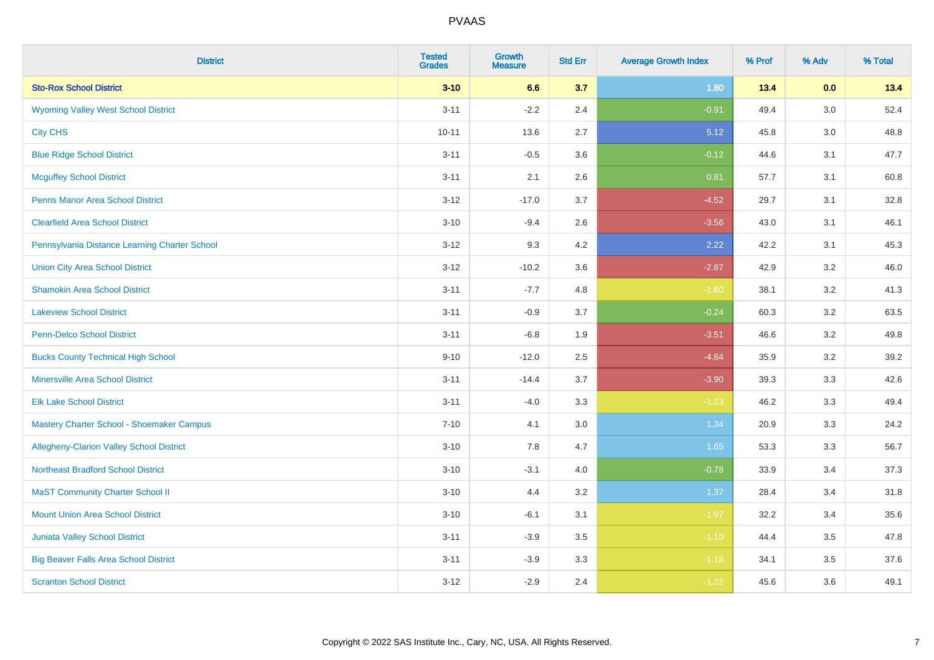| <b>District</b>                                 | <b>Tested</b><br><b>Grades</b> | <b>Growth</b><br><b>Measure</b> | <b>Std Err</b> | <b>Average Growth Index</b> | % Prof | % Adv   | % Total |
|-------------------------------------------------|--------------------------------|---------------------------------|----------------|-----------------------------|--------|---------|---------|
| <b>Sto-Rox School District</b>                  | $3 - 10$                       | 6.6                             | 3.7            | 1.80                        | 13.4   | 0.0     | 13.4    |
| <b>Wyoming Valley West School District</b>      | $3 - 11$                       | $-2.2$                          | 2.4            | $-0.91$                     | 49.4   | $3.0\,$ | 52.4    |
| <b>City CHS</b>                                 | $10 - 11$                      | 13.6                            | 2.7            | 5.12                        | 45.8   | 3.0     | 48.8    |
| <b>Blue Ridge School District</b>               | $3 - 11$                       | $-0.5$                          | 3.6            | $-0.12$                     | 44.6   | 3.1     | 47.7    |
| <b>Mcguffey School District</b>                 | $3 - 11$                       | 2.1                             | 2.6            | 0.81                        | 57.7   | 3.1     | 60.8    |
| <b>Penns Manor Area School District</b>         | $3 - 12$                       | $-17.0$                         | 3.7            | $-4.52$                     | 29.7   | 3.1     | 32.8    |
| <b>Clearfield Area School District</b>          | $3 - 10$                       | $-9.4$                          | 2.6            | $-3.56$                     | 43.0   | 3.1     | 46.1    |
| Pennsylvania Distance Learning Charter School   | $3 - 12$                       | 9.3                             | 4.2            | 2.22                        | 42.2   | 3.1     | 45.3    |
| <b>Union City Area School District</b>          | $3 - 12$                       | $-10.2$                         | 3.6            | $-2.87$                     | 42.9   | 3.2     | 46.0    |
| <b>Shamokin Area School District</b>            | $3 - 11$                       | $-7.7$                          | 4.8            | $-1.60$                     | 38.1   | 3.2     | 41.3    |
| <b>Lakeview School District</b>                 | $3 - 11$                       | $-0.9$                          | 3.7            | $-0.24$                     | 60.3   | 3.2     | 63.5    |
| <b>Penn-Delco School District</b>               | $3 - 11$                       | $-6.8$                          | 1.9            | $-3.51$                     | 46.6   | 3.2     | 49.8    |
| <b>Bucks County Technical High School</b>       | $9 - 10$                       | $-12.0$                         | 2.5            | $-4.84$                     | 35.9   | 3.2     | 39.2    |
| <b>Minersville Area School District</b>         | $3 - 11$                       | $-14.4$                         | 3.7            | $-3.90$                     | 39.3   | 3.3     | 42.6    |
| <b>Elk Lake School District</b>                 | $3 - 11$                       | $-4.0$                          | 3.3            | $-1.23$                     | 46.2   | 3.3     | 49.4    |
| Mastery Charter School - Shoemaker Campus       | $7 - 10$                       | 4.1                             | 3.0            | 1.34                        | 20.9   | 3.3     | 24.2    |
| <b>Allegheny-Clarion Valley School District</b> | $3 - 10$                       | 7.8                             | 4.7            | 1.65                        | 53.3   | 3.3     | 56.7    |
| <b>Northeast Bradford School District</b>       | $3 - 10$                       | $-3.1$                          | 4.0            | $-0.78$                     | 33.9   | 3.4     | 37.3    |
| <b>MaST Community Charter School II</b>         | $3 - 10$                       | 4.4                             | 3.2            | 1.37                        | 28.4   | 3.4     | 31.8    |
| <b>Mount Union Area School District</b>         | $3 - 10$                       | $-6.1$                          | 3.1            | $-1.97$                     | 32.2   | 3.4     | 35.6    |
| <b>Juniata Valley School District</b>           | $3 - 11$                       | $-3.9$                          | 3.5            | $-1.10$                     | 44.4   | 3.5     | 47.8    |
| <b>Big Beaver Falls Area School District</b>    | $3 - 11$                       | $-3.9$                          | 3.3            | $-1.18$                     | 34.1   | 3.5     | 37.6    |
| <b>Scranton School District</b>                 | $3 - 12$                       | $-2.9$                          | 2.4            | $-1.22$                     | 45.6   | 3.6     | 49.1    |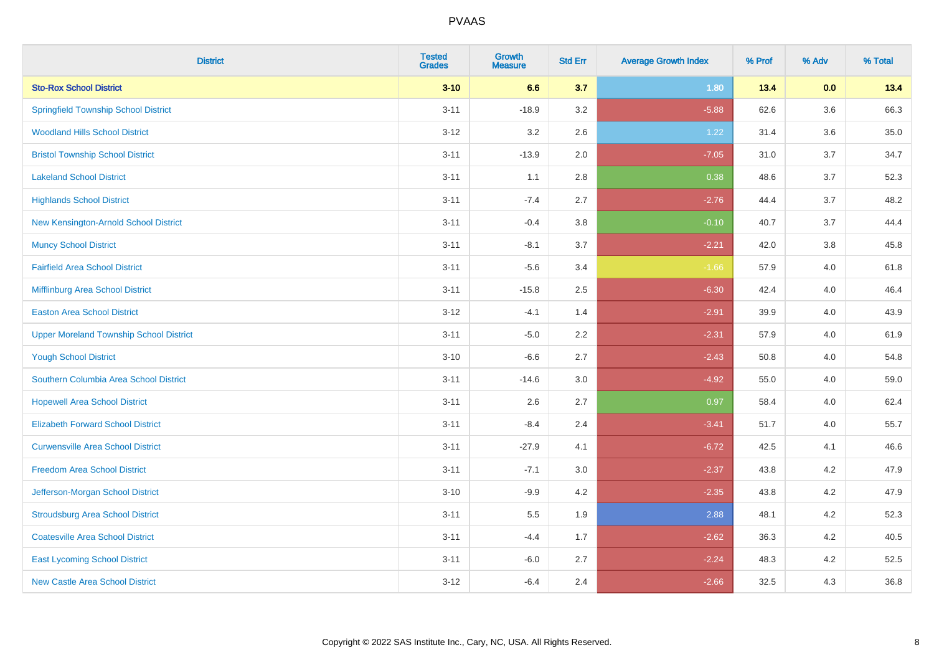| <b>District</b>                                | <b>Tested</b><br><b>Grades</b> | <b>Growth</b><br><b>Measure</b> | <b>Std Err</b> | <b>Average Growth Index</b> | % Prof | % Adv | % Total |
|------------------------------------------------|--------------------------------|---------------------------------|----------------|-----------------------------|--------|-------|---------|
| <b>Sto-Rox School District</b>                 | $3 - 10$                       | 6.6                             | 3.7            | 1.80                        | 13.4   | 0.0   | 13.4    |
| <b>Springfield Township School District</b>    | $3 - 11$                       | $-18.9$                         | 3.2            | $-5.88$                     | 62.6   | 3.6   | 66.3    |
| <b>Woodland Hills School District</b>          | $3 - 12$                       | 3.2                             | 2.6            | 1.22                        | 31.4   | 3.6   | 35.0    |
| <b>Bristol Township School District</b>        | $3 - 11$                       | $-13.9$                         | 2.0            | $-7.05$                     | 31.0   | 3.7   | 34.7    |
| <b>Lakeland School District</b>                | $3 - 11$                       | 1.1                             | 2.8            | 0.38                        | 48.6   | 3.7   | 52.3    |
| <b>Highlands School District</b>               | $3 - 11$                       | $-7.4$                          | 2.7            | $-2.76$                     | 44.4   | 3.7   | 48.2    |
| New Kensington-Arnold School District          | $3 - 11$                       | $-0.4$                          | 3.8            | $-0.10$                     | 40.7   | 3.7   | 44.4    |
| <b>Muncy School District</b>                   | $3 - 11$                       | $-8.1$                          | 3.7            | $-2.21$                     | 42.0   | 3.8   | 45.8    |
| <b>Fairfield Area School District</b>          | $3 - 11$                       | $-5.6$                          | 3.4            | $-1.66$                     | 57.9   | 4.0   | 61.8    |
| Mifflinburg Area School District               | $3 - 11$                       | $-15.8$                         | 2.5            | $-6.30$                     | 42.4   | 4.0   | 46.4    |
| <b>Easton Area School District</b>             | $3 - 12$                       | $-4.1$                          | 1.4            | $-2.91$                     | 39.9   | 4.0   | 43.9    |
| <b>Upper Moreland Township School District</b> | $3 - 11$                       | $-5.0$                          | 2.2            | $-2.31$                     | 57.9   | 4.0   | 61.9    |
| <b>Yough School District</b>                   | $3 - 10$                       | $-6.6$                          | 2.7            | $-2.43$                     | 50.8   | 4.0   | 54.8    |
| Southern Columbia Area School District         | $3 - 11$                       | $-14.6$                         | 3.0            | $-4.92$                     | 55.0   | 4.0   | 59.0    |
| <b>Hopewell Area School District</b>           | $3 - 11$                       | 2.6                             | 2.7            | 0.97                        | 58.4   | 4.0   | 62.4    |
| <b>Elizabeth Forward School District</b>       | $3 - 11$                       | $-8.4$                          | 2.4            | $-3.41$                     | 51.7   | 4.0   | 55.7    |
| <b>Curwensville Area School District</b>       | $3 - 11$                       | $-27.9$                         | 4.1            | $-6.72$                     | 42.5   | 4.1   | 46.6    |
| <b>Freedom Area School District</b>            | $3 - 11$                       | $-7.1$                          | 3.0            | $-2.37$                     | 43.8   | 4.2   | 47.9    |
| Jefferson-Morgan School District               | $3 - 10$                       | $-9.9$                          | 4.2            | $-2.35$                     | 43.8   | 4.2   | 47.9    |
| <b>Stroudsburg Area School District</b>        | $3 - 11$                       | $5.5\,$                         | 1.9            | 2.88                        | 48.1   | 4.2   | 52.3    |
| <b>Coatesville Area School District</b>        | $3 - 11$                       | $-4.4$                          | 1.7            | $-2.62$                     | 36.3   | 4.2   | 40.5    |
| <b>East Lycoming School District</b>           | $3 - 11$                       | $-6.0$                          | 2.7            | $-2.24$                     | 48.3   | 4.2   | 52.5    |
| <b>New Castle Area School District</b>         | $3 - 12$                       | $-6.4$                          | 2.4            | $-2.66$                     | 32.5   | 4.3   | 36.8    |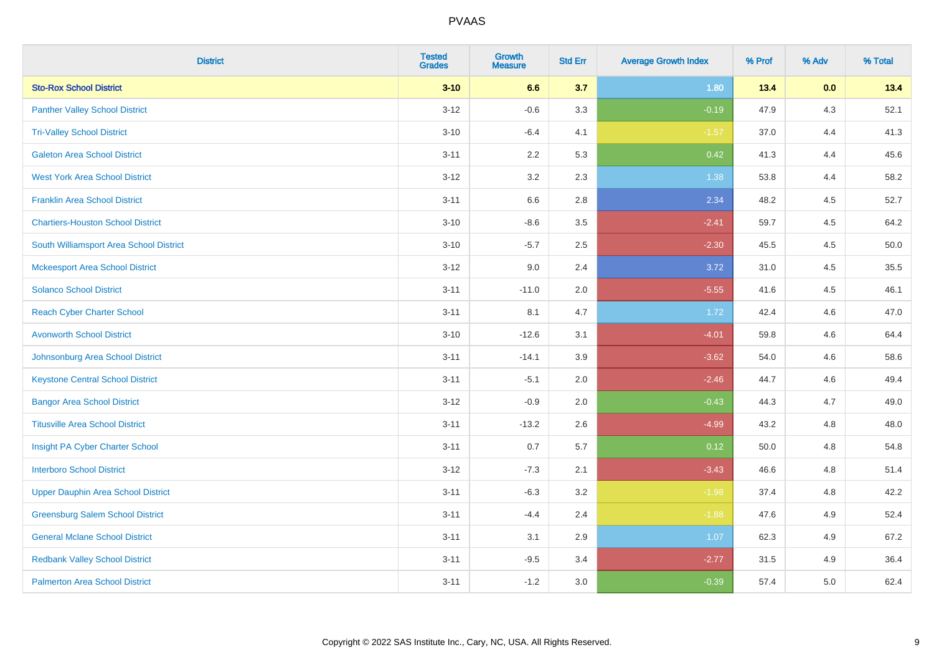| <b>District</b>                           | <b>Tested</b><br><b>Grades</b> | <b>Growth</b><br><b>Measure</b> | <b>Std Err</b> | <b>Average Growth Index</b> | % Prof | % Adv | % Total |
|-------------------------------------------|--------------------------------|---------------------------------|----------------|-----------------------------|--------|-------|---------|
| <b>Sto-Rox School District</b>            | $3 - 10$                       | 6.6                             | 3.7            | 1.80                        | 13.4   | 0.0   | 13.4    |
| <b>Panther Valley School District</b>     | $3 - 12$                       | $-0.6$                          | 3.3            | $-0.19$                     | 47.9   | $4.3$ | 52.1    |
| <b>Tri-Valley School District</b>         | $3 - 10$                       | $-6.4$                          | 4.1            | $-1.57$                     | 37.0   | 4.4   | 41.3    |
| <b>Galeton Area School District</b>       | $3 - 11$                       | 2.2                             | 5.3            | 0.42                        | 41.3   | 4.4   | 45.6    |
| <b>West York Area School District</b>     | $3 - 12$                       | 3.2                             | 2.3            | 1.38                        | 53.8   | 4.4   | 58.2    |
| <b>Franklin Area School District</b>      | $3 - 11$                       | 6.6                             | 2.8            | 2.34                        | 48.2   | 4.5   | 52.7    |
| <b>Chartiers-Houston School District</b>  | $3 - 10$                       | $-8.6$                          | 3.5            | $-2.41$                     | 59.7   | 4.5   | 64.2    |
| South Williamsport Area School District   | $3 - 10$                       | $-5.7$                          | 2.5            | $-2.30$                     | 45.5   | 4.5   | 50.0    |
| <b>Mckeesport Area School District</b>    | $3 - 12$                       | 9.0                             | 2.4            | 3.72                        | 31.0   | 4.5   | 35.5    |
| <b>Solanco School District</b>            | $3 - 11$                       | $-11.0$                         | 2.0            | $-5.55$                     | 41.6   | 4.5   | 46.1    |
| <b>Reach Cyber Charter School</b>         | $3 - 11$                       | 8.1                             | 4.7            | 1.72                        | 42.4   | 4.6   | 47.0    |
| <b>Avonworth School District</b>          | $3 - 10$                       | $-12.6$                         | 3.1            | $-4.01$                     | 59.8   | 4.6   | 64.4    |
| Johnsonburg Area School District          | $3 - 11$                       | $-14.1$                         | 3.9            | $-3.62$                     | 54.0   | 4.6   | 58.6    |
| <b>Keystone Central School District</b>   | $3 - 11$                       | $-5.1$                          | 2.0            | $-2.46$                     | 44.7   | 4.6   | 49.4    |
| <b>Bangor Area School District</b>        | $3 - 12$                       | $-0.9$                          | 2.0            | $-0.43$                     | 44.3   | 4.7   | 49.0    |
| <b>Titusville Area School District</b>    | $3 - 11$                       | $-13.2$                         | 2.6            | $-4.99$                     | 43.2   | 4.8   | 48.0    |
| Insight PA Cyber Charter School           | $3 - 11$                       | 0.7                             | 5.7            | 0.12                        | 50.0   | 4.8   | 54.8    |
| <b>Interboro School District</b>          | $3 - 12$                       | $-7.3$                          | 2.1            | $-3.43$                     | 46.6   | 4.8   | 51.4    |
| <b>Upper Dauphin Area School District</b> | $3 - 11$                       | $-6.3$                          | 3.2            | $-1.98$                     | 37.4   | 4.8   | 42.2    |
| <b>Greensburg Salem School District</b>   | $3 - 11$                       | $-4.4$                          | 2.4            | $-1.88$                     | 47.6   | 4.9   | 52.4    |
| <b>General Mclane School District</b>     | $3 - 11$                       | 3.1                             | 2.9            | 1.07                        | 62.3   | 4.9   | 67.2    |
| <b>Redbank Valley School District</b>     | $3 - 11$                       | $-9.5$                          | 3.4            | $-2.77$                     | 31.5   | 4.9   | 36.4    |
| <b>Palmerton Area School District</b>     | $3 - 11$                       | $-1.2$                          | 3.0            | $-0.39$                     | 57.4   | 5.0   | 62.4    |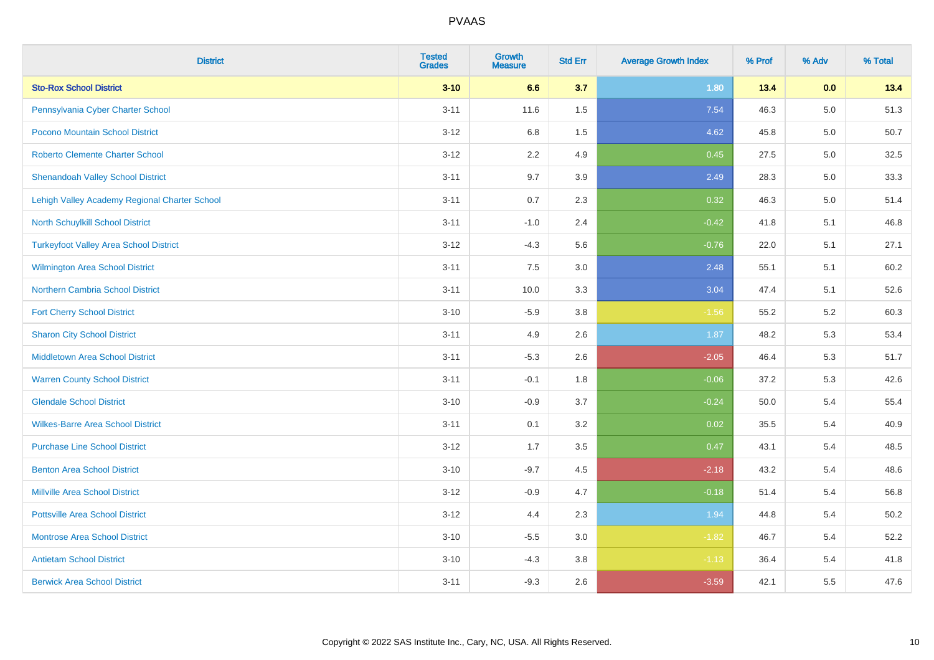| <b>District</b>                               | <b>Tested</b><br><b>Grades</b> | <b>Growth</b><br><b>Measure</b> | <b>Std Err</b> | <b>Average Growth Index</b> | % Prof | % Adv | % Total |
|-----------------------------------------------|--------------------------------|---------------------------------|----------------|-----------------------------|--------|-------|---------|
| <b>Sto-Rox School District</b>                | $3 - 10$                       | 6.6                             | 3.7            | 1.80                        | 13.4   | 0.0   | 13.4    |
| Pennsylvania Cyber Charter School             | $3 - 11$                       | 11.6                            | 1.5            | 7.54                        | 46.3   | 5.0   | 51.3    |
| Pocono Mountain School District               | $3 - 12$                       | 6.8                             | 1.5            | 4.62                        | 45.8   | 5.0   | 50.7    |
| <b>Roberto Clemente Charter School</b>        | $3 - 12$                       | 2.2                             | 4.9            | 0.45                        | 27.5   | 5.0   | 32.5    |
| <b>Shenandoah Valley School District</b>      | $3 - 11$                       | 9.7                             | 3.9            | 2.49                        | 28.3   | 5.0   | 33.3    |
| Lehigh Valley Academy Regional Charter School | $3 - 11$                       | 0.7                             | 2.3            | 0.32                        | 46.3   | 5.0   | 51.4    |
| North Schuylkill School District              | $3 - 11$                       | $-1.0$                          | 2.4            | $-0.42$                     | 41.8   | 5.1   | 46.8    |
| <b>Turkeyfoot Valley Area School District</b> | $3 - 12$                       | $-4.3$                          | 5.6            | $-0.76$                     | 22.0   | 5.1   | 27.1    |
| <b>Wilmington Area School District</b>        | $3 - 11$                       | 7.5                             | 3.0            | 2.48                        | 55.1   | 5.1   | 60.2    |
| <b>Northern Cambria School District</b>       | $3 - 11$                       | 10.0                            | 3.3            | 3.04                        | 47.4   | 5.1   | 52.6    |
| <b>Fort Cherry School District</b>            | $3 - 10$                       | $-5.9$                          | 3.8            | $-1.56$                     | 55.2   | 5.2   | 60.3    |
| <b>Sharon City School District</b>            | $3 - 11$                       | 4.9                             | 2.6            | 1.87                        | 48.2   | 5.3   | 53.4    |
| Middletown Area School District               | $3 - 11$                       | $-5.3$                          | 2.6            | $-2.05$                     | 46.4   | 5.3   | 51.7    |
| <b>Warren County School District</b>          | $3 - 11$                       | $-0.1$                          | 1.8            | $-0.06$                     | 37.2   | 5.3   | 42.6    |
| <b>Glendale School District</b>               | $3 - 10$                       | $-0.9$                          | 3.7            | $-0.24$                     | 50.0   | 5.4   | 55.4    |
| <b>Wilkes-Barre Area School District</b>      | $3 - 11$                       | 0.1                             | 3.2            | 0.02                        | 35.5   | 5.4   | 40.9    |
| <b>Purchase Line School District</b>          | $3 - 12$                       | 1.7                             | 3.5            | 0.47                        | 43.1   | 5.4   | 48.5    |
| <b>Benton Area School District</b>            | $3 - 10$                       | $-9.7$                          | 4.5            | $-2.18$                     | 43.2   | 5.4   | 48.6    |
| <b>Millville Area School District</b>         | $3 - 12$                       | $-0.9$                          | 4.7            | $-0.18$                     | 51.4   | 5.4   | 56.8    |
| <b>Pottsville Area School District</b>        | $3 - 12$                       | 4.4                             | 2.3            | 1.94                        | 44.8   | 5.4   | 50.2    |
| <b>Montrose Area School District</b>          | $3 - 10$                       | $-5.5$                          | 3.0            | $-1.82$                     | 46.7   | 5.4   | 52.2    |
| <b>Antietam School District</b>               | $3 - 10$                       | $-4.3$                          | 3.8            | $-1.13$                     | 36.4   | 5.4   | 41.8    |
| <b>Berwick Area School District</b>           | $3 - 11$                       | $-9.3$                          | 2.6            | $-3.59$                     | 42.1   | 5.5   | 47.6    |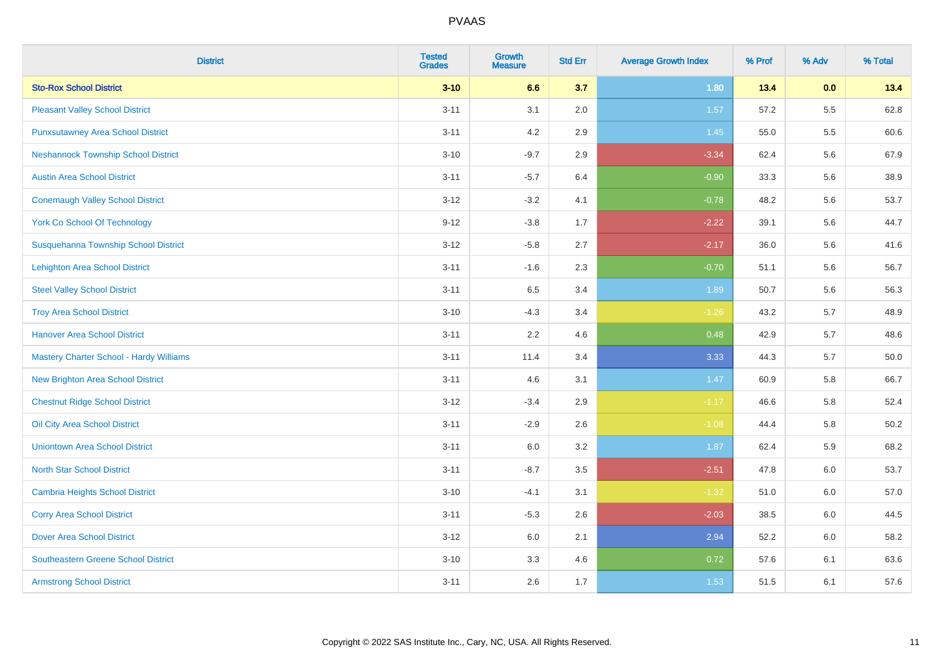| <b>District</b>                                | <b>Tested</b><br><b>Grades</b> | <b>Growth</b><br><b>Measure</b> | <b>Std Err</b> | <b>Average Growth Index</b> | % Prof | % Adv | % Total  |
|------------------------------------------------|--------------------------------|---------------------------------|----------------|-----------------------------|--------|-------|----------|
| <b>Sto-Rox School District</b>                 | $3 - 10$                       | 6.6                             | 3.7            | 1.80                        | 13.4   | 0.0   | 13.4     |
| <b>Pleasant Valley School District</b>         | $3 - 11$                       | 3.1                             | 2.0            | 1.57                        | 57.2   | 5.5   | 62.8     |
| <b>Punxsutawney Area School District</b>       | $3 - 11$                       | 4.2                             | 2.9            | 1.45                        | 55.0   | 5.5   | 60.6     |
| <b>Neshannock Township School District</b>     | $3 - 10$                       | $-9.7$                          | 2.9            | $-3.34$                     | 62.4   | 5.6   | 67.9     |
| <b>Austin Area School District</b>             | $3 - 11$                       | $-5.7$                          | 6.4            | $-0.90$                     | 33.3   | 5.6   | 38.9     |
| <b>Conemaugh Valley School District</b>        | $3 - 12$                       | $-3.2$                          | 4.1            | $-0.78$                     | 48.2   | 5.6   | 53.7     |
| <b>York Co School Of Technology</b>            | $9 - 12$                       | $-3.8$                          | 1.7            | $-2.22$                     | 39.1   | 5.6   | 44.7     |
| Susquehanna Township School District           | $3 - 12$                       | $-5.8$                          | 2.7            | $-2.17$                     | 36.0   | 5.6   | 41.6     |
| <b>Lehighton Area School District</b>          | $3 - 11$                       | $-1.6$                          | 2.3            | $-0.70$                     | 51.1   | 5.6   | 56.7     |
| <b>Steel Valley School District</b>            | $3 - 11$                       | 6.5                             | 3.4            | 1.89                        | 50.7   | 5.6   | 56.3     |
| <b>Troy Area School District</b>               | $3 - 10$                       | $-4.3$                          | 3.4            | $-1.26$                     | 43.2   | 5.7   | 48.9     |
| <b>Hanover Area School District</b>            | $3 - 11$                       | 2.2                             | 4.6            | 0.48                        | 42.9   | 5.7   | 48.6     |
| <b>Mastery Charter School - Hardy Williams</b> | $3 - 11$                       | 11.4                            | 3.4            | 3.33                        | 44.3   | 5.7   | 50.0     |
| <b>New Brighton Area School District</b>       | $3 - 11$                       | 4.6                             | 3.1            | 1.47                        | 60.9   | 5.8   | 66.7     |
| <b>Chestnut Ridge School District</b>          | $3 - 12$                       | $-3.4$                          | 2.9            | $-1.17$                     | 46.6   | 5.8   | 52.4     |
| Oil City Area School District                  | $3 - 11$                       | $-2.9$                          | 2.6            | $-1.08$                     | 44.4   | 5.8   | $50.2\,$ |
| <b>Uniontown Area School District</b>          | $3 - 11$                       | 6.0                             | 3.2            | 1.87                        | 62.4   | 5.9   | 68.2     |
| <b>North Star School District</b>              | $3 - 11$                       | $-8.7$                          | 3.5            | $-2.51$                     | 47.8   | 6.0   | 53.7     |
| <b>Cambria Heights School District</b>         | $3 - 10$                       | $-4.1$                          | 3.1            | $-1.32$                     | 51.0   | 6.0   | 57.0     |
| <b>Corry Area School District</b>              | $3 - 11$                       | $-5.3$                          | 2.6            | $-2.03$                     | 38.5   | 6.0   | 44.5     |
| <b>Dover Area School District</b>              | $3 - 12$                       | 6.0                             | 2.1            | 2.94                        | 52.2   | 6.0   | 58.2     |
| <b>Southeastern Greene School District</b>     | $3 - 10$                       | 3.3                             | 4.6            | 0.72                        | 57.6   | 6.1   | 63.6     |
| <b>Armstrong School District</b>               | $3 - 11$                       | 2.6                             | 1.7            | 1.53                        | 51.5   | 6.1   | 57.6     |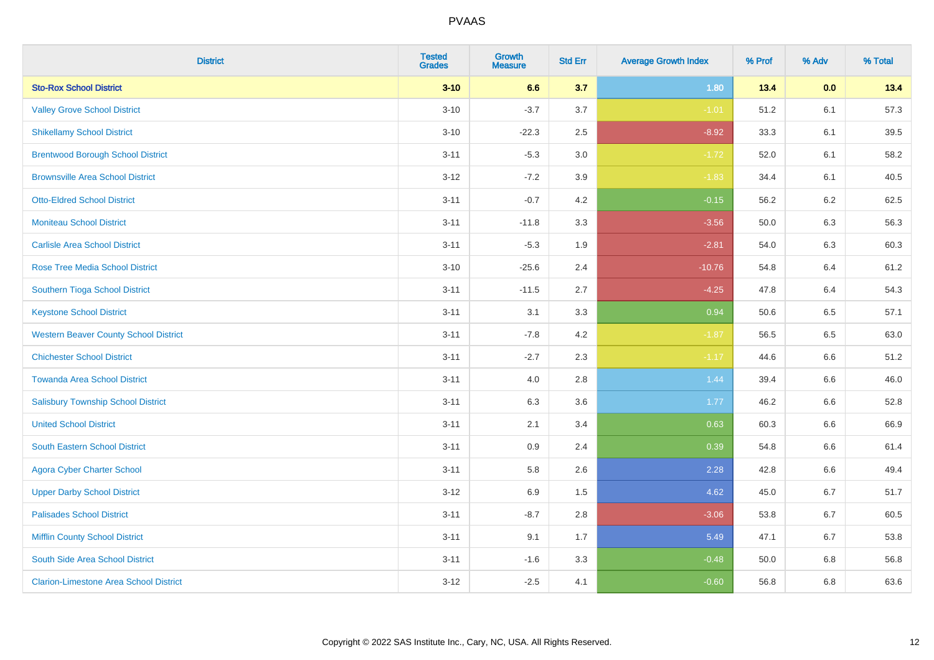| <b>District</b>                               | <b>Tested</b><br><b>Grades</b> | <b>Growth</b><br><b>Measure</b> | <b>Std Err</b> | <b>Average Growth Index</b> | % Prof | % Adv   | % Total |
|-----------------------------------------------|--------------------------------|---------------------------------|----------------|-----------------------------|--------|---------|---------|
| <b>Sto-Rox School District</b>                | $3 - 10$                       | 6.6                             | 3.7            | 1.80                        | 13.4   | 0.0     | 13.4    |
| <b>Valley Grove School District</b>           | $3 - 10$                       | $-3.7$                          | 3.7            | $-1.01$                     | 51.2   | 6.1     | 57.3    |
| <b>Shikellamy School District</b>             | $3 - 10$                       | $-22.3$                         | 2.5            | $-8.92$                     | 33.3   | 6.1     | 39.5    |
| <b>Brentwood Borough School District</b>      | $3 - 11$                       | $-5.3$                          | 3.0            | $-1.72$                     | 52.0   | 6.1     | 58.2    |
| <b>Brownsville Area School District</b>       | $3 - 12$                       | $-7.2$                          | 3.9            | $-1.83$                     | 34.4   | 6.1     | 40.5    |
| <b>Otto-Eldred School District</b>            | $3 - 11$                       | $-0.7$                          | 4.2            | $-0.15$                     | 56.2   | 6.2     | 62.5    |
| <b>Moniteau School District</b>               | $3 - 11$                       | $-11.8$                         | 3.3            | $-3.56$                     | 50.0   | 6.3     | 56.3    |
| <b>Carlisle Area School District</b>          | $3 - 11$                       | $-5.3$                          | 1.9            | $-2.81$                     | 54.0   | 6.3     | 60.3    |
| <b>Rose Tree Media School District</b>        | $3 - 10$                       | $-25.6$                         | 2.4            | $-10.76$                    | 54.8   | 6.4     | 61.2    |
| Southern Tioga School District                | $3 - 11$                       | $-11.5$                         | 2.7            | $-4.25$                     | 47.8   | 6.4     | 54.3    |
| <b>Keystone School District</b>               | $3 - 11$                       | 3.1                             | 3.3            | 0.94                        | 50.6   | 6.5     | 57.1    |
| <b>Western Beaver County School District</b>  | $3 - 11$                       | $-7.8$                          | 4.2            | $-1.87$                     | 56.5   | 6.5     | 63.0    |
| <b>Chichester School District</b>             | $3 - 11$                       | $-2.7$                          | 2.3            | $-1.17$                     | 44.6   | $6.6\,$ | 51.2    |
| <b>Towanda Area School District</b>           | $3 - 11$                       | 4.0                             | 2.8            | 1.44                        | 39.4   | 6.6     | 46.0    |
| <b>Salisbury Township School District</b>     | $3 - 11$                       | 6.3                             | 3.6            | 1.77                        | 46.2   | 6.6     | 52.8    |
| <b>United School District</b>                 | $3 - 11$                       | 2.1                             | 3.4            | 0.63                        | 60.3   | $6.6\,$ | 66.9    |
| <b>South Eastern School District</b>          | $3 - 11$                       | 0.9                             | 2.4            | 0.39                        | 54.8   | 6.6     | 61.4    |
| <b>Agora Cyber Charter School</b>             | $3 - 11$                       | 5.8                             | 2.6            | 2.28                        | 42.8   | 6.6     | 49.4    |
| <b>Upper Darby School District</b>            | $3 - 12$                       | 6.9                             | 1.5            | 4.62                        | 45.0   | 6.7     | 51.7    |
| <b>Palisades School District</b>              | $3 - 11$                       | $-8.7$                          | 2.8            | $-3.06$                     | 53.8   | 6.7     | 60.5    |
| <b>Mifflin County School District</b>         | $3 - 11$                       | 9.1                             | 1.7            | 5.49                        | 47.1   | 6.7     | 53.8    |
| South Side Area School District               | $3 - 11$                       | $-1.6$                          | 3.3            | $-0.48$                     | 50.0   | 6.8     | 56.8    |
| <b>Clarion-Limestone Area School District</b> | $3 - 12$                       | $-2.5$                          | 4.1            | $-0.60$                     | 56.8   | 6.8     | 63.6    |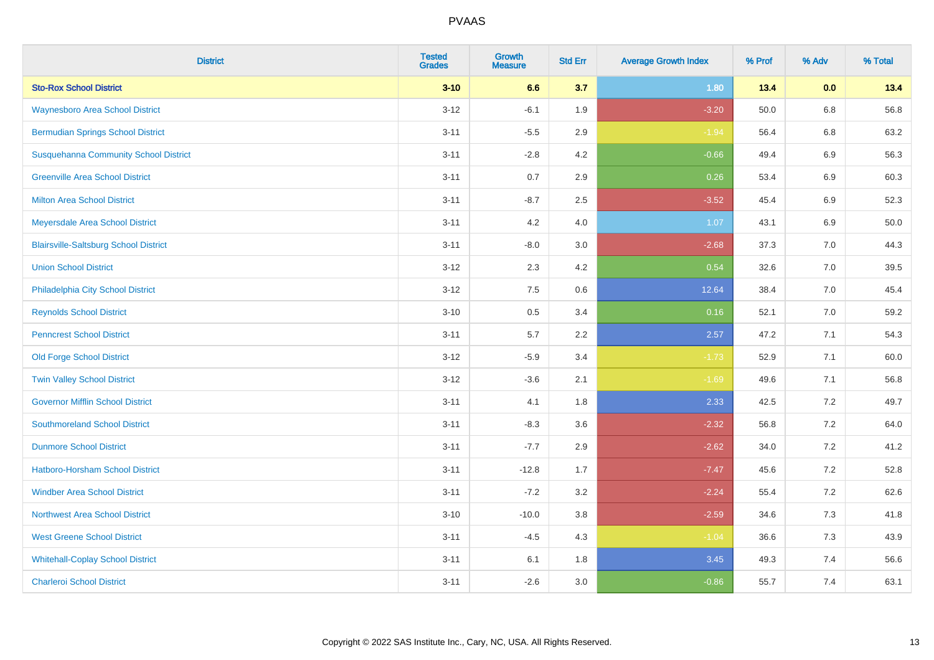| <b>District</b>                              | <b>Tested</b><br><b>Grades</b> | Growth<br><b>Measure</b> | <b>Std Err</b> | <b>Average Growth Index</b> | % Prof | % Adv   | % Total |
|----------------------------------------------|--------------------------------|--------------------------|----------------|-----------------------------|--------|---------|---------|
| <b>Sto-Rox School District</b>               | $3 - 10$                       | 6.6                      | 3.7            | 1.80                        | 13.4   | 0.0     | 13.4    |
| <b>Waynesboro Area School District</b>       | $3 - 12$                       | $-6.1$                   | 1.9            | $-3.20$                     | 50.0   | $6.8\,$ | 56.8    |
| <b>Bermudian Springs School District</b>     | $3 - 11$                       | $-5.5$                   | 2.9            | $-1.94$                     | 56.4   | 6.8     | 63.2    |
| <b>Susquehanna Community School District</b> | $3 - 11$                       | $-2.8$                   | 4.2            | $-0.66$                     | 49.4   | $6.9\,$ | 56.3    |
| <b>Greenville Area School District</b>       | $3 - 11$                       | 0.7                      | 2.9            | 0.26                        | 53.4   | $6.9\,$ | 60.3    |
| <b>Milton Area School District</b>           | $3 - 11$                       | $-8.7$                   | 2.5            | $-3.52$                     | 45.4   | 6.9     | 52.3    |
| Meyersdale Area School District              | $3 - 11$                       | 4.2                      | 4.0            | 1.07                        | 43.1   | $6.9\,$ | 50.0    |
| <b>Blairsville-Saltsburg School District</b> | $3 - 11$                       | $-8.0$                   | 3.0            | $-2.68$                     | 37.3   | 7.0     | 44.3    |
| <b>Union School District</b>                 | $3 - 12$                       | 2.3                      | 4.2            | 0.54                        | 32.6   | 7.0     | 39.5    |
| Philadelphia City School District            | $3 - 12$                       | 7.5                      | 0.6            | 12.64                       | 38.4   | 7.0     | 45.4    |
| <b>Reynolds School District</b>              | $3 - 10$                       | 0.5                      | 3.4            | 0.16                        | 52.1   | 7.0     | 59.2    |
| <b>Penncrest School District</b>             | $3 - 11$                       | 5.7                      | 2.2            | 2.57                        | 47.2   | 7.1     | 54.3    |
| <b>Old Forge School District</b>             | $3 - 12$                       | $-5.9$                   | 3.4            | $-1.73$                     | 52.9   | 7.1     | 60.0    |
| <b>Twin Valley School District</b>           | $3 - 12$                       | $-3.6$                   | 2.1            | $-1.69$                     | 49.6   | 7.1     | 56.8    |
| <b>Governor Mifflin School District</b>      | $3 - 11$                       | 4.1                      | 1.8            | 2.33                        | 42.5   | 7.2     | 49.7    |
| <b>Southmoreland School District</b>         | $3 - 11$                       | $-8.3$                   | 3.6            | $-2.32$                     | 56.8   | 7.2     | 64.0    |
| <b>Dunmore School District</b>               | $3 - 11$                       | $-7.7$                   | 2.9            | $-2.62$                     | 34.0   | 7.2     | 41.2    |
| <b>Hatboro-Horsham School District</b>       | $3 - 11$                       | $-12.8$                  | 1.7            | $-7.47$                     | 45.6   | 7.2     | 52.8    |
| <b>Windber Area School District</b>          | $3 - 11$                       | $-7.2$                   | 3.2            | $-2.24$                     | 55.4   | 7.2     | 62.6    |
| Northwest Area School District               | $3 - 10$                       | $-10.0$                  | 3.8            | $-2.59$                     | 34.6   | 7.3     | 41.8    |
| <b>West Greene School District</b>           | $3 - 11$                       | $-4.5$                   | 4.3            | $-1.04$                     | 36.6   | 7.3     | 43.9    |
| <b>Whitehall-Coplay School District</b>      | $3 - 11$                       | 6.1                      | 1.8            | 3.45                        | 49.3   | 7.4     | 56.6    |
| <b>Charleroi School District</b>             | $3 - 11$                       | $-2.6$                   | 3.0            | $-0.86$                     | 55.7   | 7.4     | 63.1    |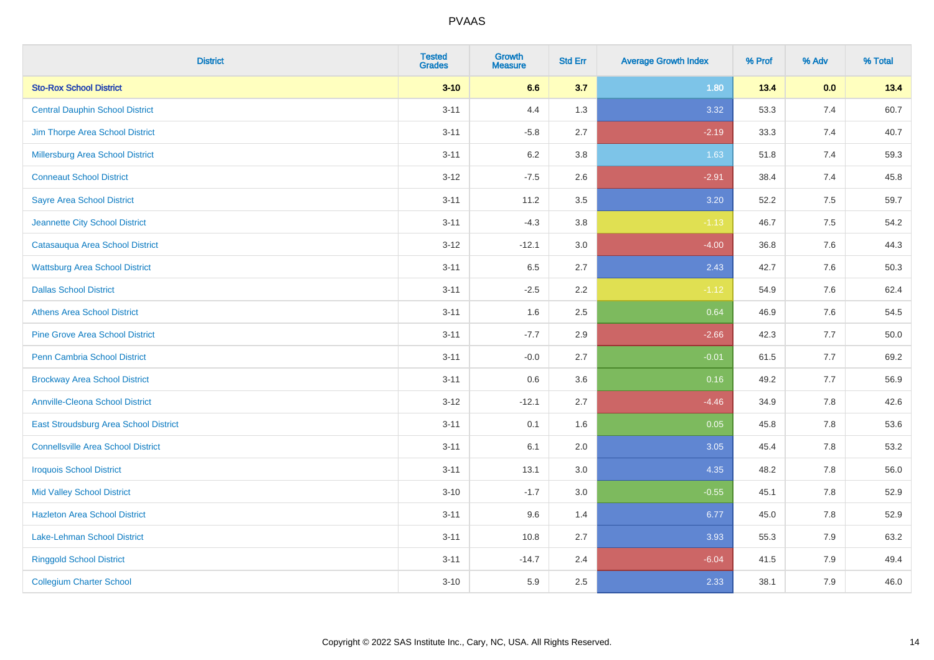| <b>District</b>                           | <b>Tested</b><br><b>Grades</b> | Growth<br><b>Measure</b> | <b>Std Err</b> | <b>Average Growth Index</b> | % Prof | % Adv   | % Total |
|-------------------------------------------|--------------------------------|--------------------------|----------------|-----------------------------|--------|---------|---------|
| <b>Sto-Rox School District</b>            | $3 - 10$                       | 6.6                      | 3.7            | 1.80                        | 13.4   | 0.0     | 13.4    |
| <b>Central Dauphin School District</b>    | $3 - 11$                       | 4.4                      | 1.3            | 3.32                        | 53.3   | $7.4$   | 60.7    |
| Jim Thorpe Area School District           | $3 - 11$                       | $-5.8$                   | 2.7            | $-2.19$                     | 33.3   | 7.4     | 40.7    |
| Millersburg Area School District          | $3 - 11$                       | $6.2\,$                  | 3.8            | 1.63                        | 51.8   | 7.4     | 59.3    |
| <b>Conneaut School District</b>           | $3 - 12$                       | $-7.5$                   | 2.6            | $-2.91$                     | 38.4   | 7.4     | 45.8    |
| <b>Sayre Area School District</b>         | $3 - 11$                       | 11.2                     | 3.5            | 3.20                        | 52.2   | 7.5     | 59.7    |
| Jeannette City School District            | $3 - 11$                       | $-4.3$                   | 3.8            | $-1.13$                     | 46.7   | 7.5     | 54.2    |
| Catasauqua Area School District           | $3 - 12$                       | $-12.1$                  | 3.0            | $-4.00$                     | 36.8   | 7.6     | 44.3    |
| <b>Wattsburg Area School District</b>     | $3 - 11$                       | 6.5                      | 2.7            | 2.43                        | 42.7   | 7.6     | 50.3    |
| <b>Dallas School District</b>             | $3 - 11$                       | $-2.5$                   | 2.2            | $-1.12$                     | 54.9   | 7.6     | 62.4    |
| <b>Athens Area School District</b>        | $3 - 11$                       | 1.6                      | 2.5            | 0.64                        | 46.9   | 7.6     | 54.5    |
| <b>Pine Grove Area School District</b>    | $3 - 11$                       | $-7.7$                   | 2.9            | $-2.66$                     | 42.3   | 7.7     | 50.0    |
| Penn Cambria School District              | $3 - 11$                       | $-0.0$                   | 2.7            | $-0.01$                     | 61.5   | 7.7     | 69.2    |
| <b>Brockway Area School District</b>      | $3 - 11$                       | 0.6                      | 3.6            | 0.16                        | 49.2   | 7.7     | 56.9    |
| <b>Annville-Cleona School District</b>    | $3 - 12$                       | $-12.1$                  | 2.7            | $-4.46$                     | 34.9   | 7.8     | 42.6    |
| East Stroudsburg Area School District     | $3 - 11$                       | 0.1                      | 1.6            | 0.05                        | 45.8   | $7.8\,$ | 53.6    |
| <b>Connellsville Area School District</b> | $3 - 11$                       | 6.1                      | 2.0            | 3.05                        | 45.4   | 7.8     | 53.2    |
| <b>Iroquois School District</b>           | $3 - 11$                       | 13.1                     | 3.0            | 4.35                        | 48.2   | 7.8     | 56.0    |
| <b>Mid Valley School District</b>         | $3 - 10$                       | $-1.7$                   | 3.0            | $-0.55$                     | 45.1   | $7.8\,$ | 52.9    |
| <b>Hazleton Area School District</b>      | $3 - 11$                       | 9.6                      | 1.4            | 6.77                        | 45.0   | 7.8     | 52.9    |
| Lake-Lehman School District               | $3 - 11$                       | 10.8                     | 2.7            | 3.93                        | 55.3   | 7.9     | 63.2    |
| <b>Ringgold School District</b>           | $3 - 11$                       | $-14.7$                  | 2.4            | $-6.04$                     | 41.5   | 7.9     | 49.4    |
| <b>Collegium Charter School</b>           | $3 - 10$                       | 5.9                      | 2.5            | 2.33                        | 38.1   | 7.9     | 46.0    |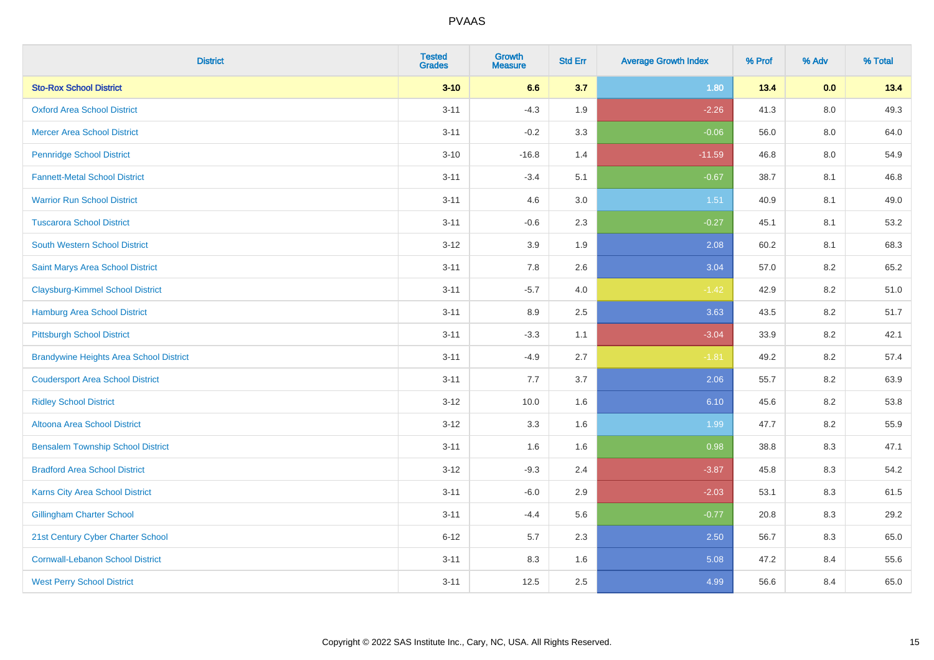| <b>District</b>                                | <b>Tested</b><br><b>Grades</b> | Growth<br><b>Measure</b> | <b>Std Err</b> | <b>Average Growth Index</b> | % Prof | % Adv   | % Total |
|------------------------------------------------|--------------------------------|--------------------------|----------------|-----------------------------|--------|---------|---------|
| <b>Sto-Rox School District</b>                 | $3 - 10$                       | 6.6                      | 3.7            | 1.80                        | 13.4   | 0.0     | 13.4    |
| <b>Oxford Area School District</b>             | $3 - 11$                       | $-4.3$                   | 1.9            | $-2.26$                     | 41.3   | $8.0\,$ | 49.3    |
| <b>Mercer Area School District</b>             | $3 - 11$                       | $-0.2$                   | 3.3            | $-0.06$                     | 56.0   | 8.0     | 64.0    |
| <b>Pennridge School District</b>               | $3 - 10$                       | $-16.8$                  | 1.4            | $-11.59$                    | 46.8   | $8.0\,$ | 54.9    |
| <b>Fannett-Metal School District</b>           | $3 - 11$                       | $-3.4$                   | 5.1            | $-0.67$                     | 38.7   | 8.1     | 46.8    |
| <b>Warrior Run School District</b>             | $3 - 11$                       | 4.6                      | 3.0            | 1.51                        | 40.9   | 8.1     | 49.0    |
| <b>Tuscarora School District</b>               | $3 - 11$                       | $-0.6$                   | 2.3            | $-0.27$                     | 45.1   | 8.1     | 53.2    |
| <b>South Western School District</b>           | $3 - 12$                       | 3.9                      | 1.9            | 2.08                        | 60.2   | 8.1     | 68.3    |
| Saint Marys Area School District               | $3 - 11$                       | 7.8                      | 2.6            | 3.04                        | 57.0   | 8.2     | 65.2    |
| <b>Claysburg-Kimmel School District</b>        | $3 - 11$                       | $-5.7$                   | 4.0            | $-1.42$                     | 42.9   | 8.2     | 51.0    |
| Hamburg Area School District                   | $3 - 11$                       | 8.9                      | 2.5            | 3.63                        | 43.5   | 8.2     | 51.7    |
| <b>Pittsburgh School District</b>              | $3 - 11$                       | $-3.3$                   | 1.1            | $-3.04$                     | 33.9   | 8.2     | 42.1    |
| <b>Brandywine Heights Area School District</b> | $3 - 11$                       | $-4.9$                   | 2.7            | $-1.81$                     | 49.2   | $8.2\,$ | 57.4    |
| <b>Coudersport Area School District</b>        | $3 - 11$                       | 7.7                      | 3.7            | 2.06                        | 55.7   | 8.2     | 63.9    |
| <b>Ridley School District</b>                  | $3 - 12$                       | 10.0                     | 1.6            | 6.10                        | 45.6   | $8.2\,$ | 53.8    |
| <b>Altoona Area School District</b>            | $3 - 12$                       | 3.3                      | 1.6            | 1.99                        | 47.7   | 8.2     | 55.9    |
| <b>Bensalem Township School District</b>       | $3 - 11$                       | 1.6                      | 1.6            | 0.98                        | 38.8   | 8.3     | 47.1    |
| <b>Bradford Area School District</b>           | $3 - 12$                       | $-9.3$                   | 2.4            | $-3.87$                     | 45.8   | 8.3     | 54.2    |
| <b>Karns City Area School District</b>         | $3 - 11$                       | $-6.0$                   | 2.9            | $-2.03$                     | 53.1   | 8.3     | 61.5    |
| <b>Gillingham Charter School</b>               | $3 - 11$                       | $-4.4$                   | 5.6            | $-0.77$                     | 20.8   | 8.3     | 29.2    |
| 21st Century Cyber Charter School              | $6 - 12$                       | 5.7                      | 2.3            | 2.50                        | 56.7   | 8.3     | 65.0    |
| <b>Cornwall-Lebanon School District</b>        | $3 - 11$                       | 8.3                      | 1.6            | 5.08                        | 47.2   | 8.4     | 55.6    |
| <b>West Perry School District</b>              | $3 - 11$                       | 12.5                     | 2.5            | 4.99                        | 56.6   | 8.4     | 65.0    |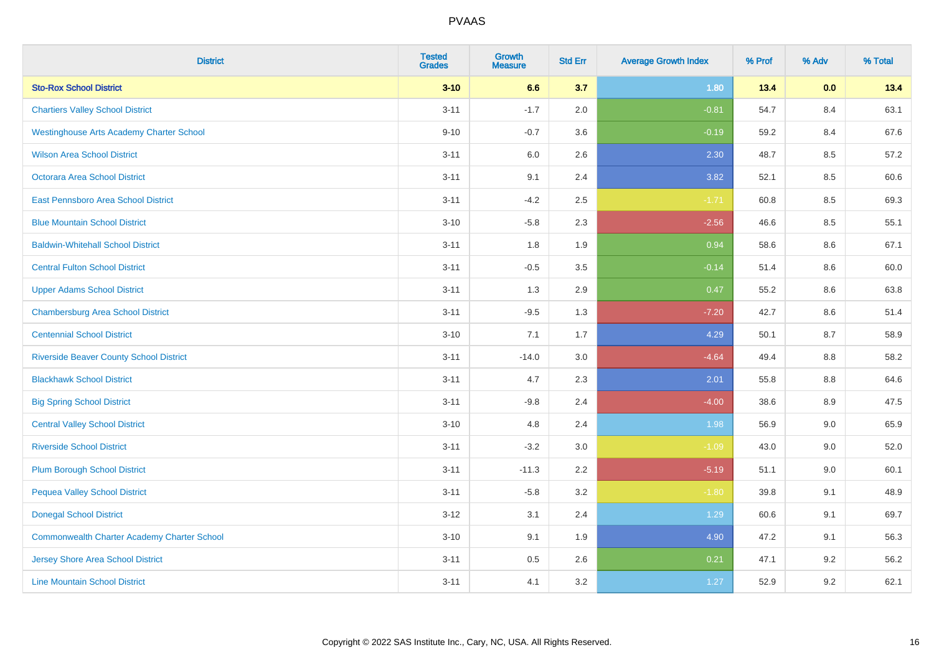| <b>District</b>                                    | <b>Tested</b><br><b>Grades</b> | <b>Growth</b><br><b>Measure</b> | <b>Std Err</b> | <b>Average Growth Index</b> | % Prof | % Adv | % Total |
|----------------------------------------------------|--------------------------------|---------------------------------|----------------|-----------------------------|--------|-------|---------|
| <b>Sto-Rox School District</b>                     | $3 - 10$                       | 6.6                             | 3.7            | 1.80                        | 13.4   | 0.0   | 13.4    |
| <b>Chartiers Valley School District</b>            | $3 - 11$                       | $-1.7$                          | 2.0            | $-0.81$                     | 54.7   | 8.4   | 63.1    |
| <b>Westinghouse Arts Academy Charter School</b>    | $9 - 10$                       | $-0.7$                          | 3.6            | $-0.19$                     | 59.2   | 8.4   | 67.6    |
| <b>Wilson Area School District</b>                 | $3 - 11$                       | $6.0\,$                         | 2.6            | 2.30                        | 48.7   | 8.5   | 57.2    |
| Octorara Area School District                      | $3 - 11$                       | 9.1                             | 2.4            | 3.82                        | 52.1   | 8.5   | 60.6    |
| East Pennsboro Area School District                | $3 - 11$                       | $-4.2$                          | 2.5            | $-1.71$                     | 60.8   | 8.5   | 69.3    |
| <b>Blue Mountain School District</b>               | $3 - 10$                       | $-5.8$                          | 2.3            | $-2.56$                     | 46.6   | 8.5   | 55.1    |
| <b>Baldwin-Whitehall School District</b>           | $3 - 11$                       | 1.8                             | 1.9            | 0.94                        | 58.6   | 8.6   | 67.1    |
| <b>Central Fulton School District</b>              | $3 - 11$                       | $-0.5$                          | 3.5            | $-0.14$                     | 51.4   | 8.6   | 60.0    |
| <b>Upper Adams School District</b>                 | $3 - 11$                       | 1.3                             | 2.9            | 0.47                        | 55.2   | 8.6   | 63.8    |
| <b>Chambersburg Area School District</b>           | $3 - 11$                       | $-9.5$                          | 1.3            | $-7.20$                     | 42.7   | 8.6   | 51.4    |
| <b>Centennial School District</b>                  | $3 - 10$                       | 7.1                             | 1.7            | 4.29                        | 50.1   | 8.7   | 58.9    |
| <b>Riverside Beaver County School District</b>     | $3 - 11$                       | $-14.0$                         | 3.0            | $-4.64$                     | 49.4   | 8.8   | 58.2    |
| <b>Blackhawk School District</b>                   | $3 - 11$                       | 4.7                             | 2.3            | 2.01                        | 55.8   | 8.8   | 64.6    |
| <b>Big Spring School District</b>                  | $3 - 11$                       | $-9.8$                          | 2.4            | $-4.00$                     | 38.6   | 8.9   | 47.5    |
| <b>Central Valley School District</b>              | $3 - 10$                       | 4.8                             | 2.4            | 1.98                        | 56.9   | 9.0   | 65.9    |
| <b>Riverside School District</b>                   | $3 - 11$                       | $-3.2$                          | 3.0            | $-1.09$                     | 43.0   | 9.0   | 52.0    |
| <b>Plum Borough School District</b>                | $3 - 11$                       | $-11.3$                         | 2.2            | $-5.19$                     | 51.1   | 9.0   | 60.1    |
| <b>Pequea Valley School District</b>               | $3 - 11$                       | $-5.8$                          | 3.2            | $-1.80$                     | 39.8   | 9.1   | 48.9    |
| <b>Donegal School District</b>                     | $3 - 12$                       | 3.1                             | 2.4            | 1.29                        | 60.6   | 9.1   | 69.7    |
| <b>Commonwealth Charter Academy Charter School</b> | $3 - 10$                       | 9.1                             | 1.9            | 4.90                        | 47.2   | 9.1   | 56.3    |
| <b>Jersey Shore Area School District</b>           | $3 - 11$                       | $0.5\,$                         | 2.6            | 0.21                        | 47.1   | 9.2   | 56.2    |
| <b>Line Mountain School District</b>               | $3 - 11$                       | 4.1                             | 3.2            | 1.27                        | 52.9   | 9.2   | 62.1    |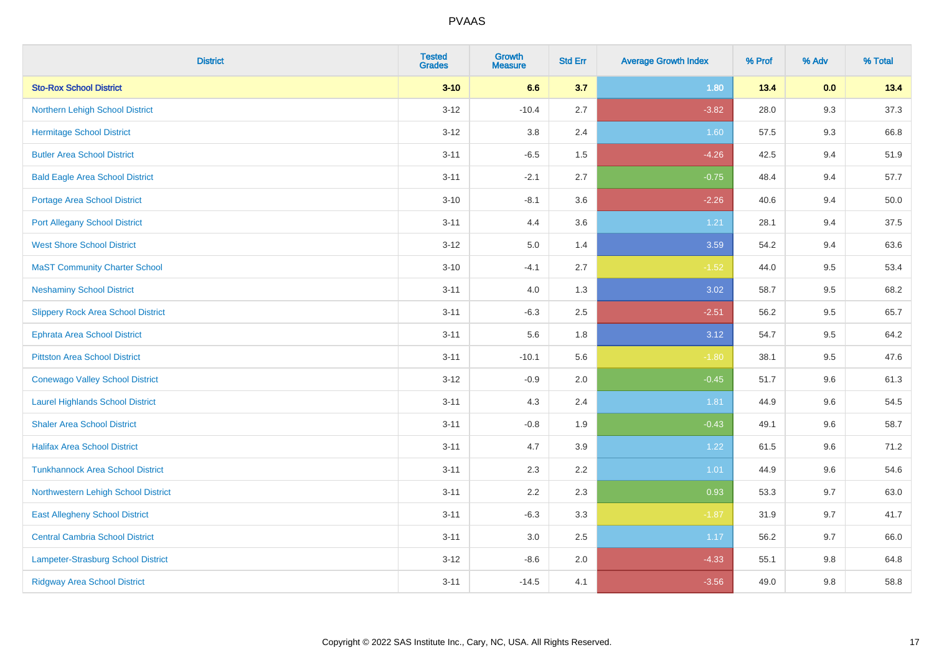| <b>District</b>                           | <b>Tested</b><br><b>Grades</b> | <b>Growth</b><br><b>Measure</b> | <b>Std Err</b> | <b>Average Growth Index</b> | % Prof | % Adv   | % Total |
|-------------------------------------------|--------------------------------|---------------------------------|----------------|-----------------------------|--------|---------|---------|
| <b>Sto-Rox School District</b>            | $3 - 10$                       | 6.6                             | 3.7            | 1.80                        | 13.4   | 0.0     | 13.4    |
| Northern Lehigh School District           | $3 - 12$                       | $-10.4$                         | 2.7            | $-3.82$                     | 28.0   | 9.3     | 37.3    |
| <b>Hermitage School District</b>          | $3 - 12$                       | 3.8                             | 2.4            | 1.60                        | 57.5   | 9.3     | 66.8    |
| <b>Butler Area School District</b>        | $3 - 11$                       | $-6.5$                          | 1.5            | $-4.26$                     | 42.5   | 9.4     | 51.9    |
| <b>Bald Eagle Area School District</b>    | $3 - 11$                       | $-2.1$                          | 2.7            | $-0.75$                     | 48.4   | 9.4     | 57.7    |
| <b>Portage Area School District</b>       | $3 - 10$                       | $-8.1$                          | 3.6            | $-2.26$                     | 40.6   | 9.4     | 50.0    |
| <b>Port Allegany School District</b>      | $3 - 11$                       | 4.4                             | 3.6            | 1.21                        | 28.1   | 9.4     | 37.5    |
| <b>West Shore School District</b>         | $3 - 12$                       | 5.0                             | 1.4            | 3.59                        | 54.2   | 9.4     | 63.6    |
| <b>MaST Community Charter School</b>      | $3 - 10$                       | $-4.1$                          | 2.7            | $-1.52$                     | 44.0   | 9.5     | 53.4    |
| <b>Neshaminy School District</b>          | $3 - 11$                       | 4.0                             | 1.3            | 3.02                        | 58.7   | 9.5     | 68.2    |
| <b>Slippery Rock Area School District</b> | $3 - 11$                       | $-6.3$                          | 2.5            | $-2.51$                     | 56.2   | 9.5     | 65.7    |
| <b>Ephrata Area School District</b>       | $3 - 11$                       | 5.6                             | 1.8            | 3.12                        | 54.7   | 9.5     | 64.2    |
| <b>Pittston Area School District</b>      | $3 - 11$                       | $-10.1$                         | 5.6            | $-1.80$                     | 38.1   | $9.5\,$ | 47.6    |
| <b>Conewago Valley School District</b>    | $3 - 12$                       | $-0.9$                          | 2.0            | $-0.45$                     | 51.7   | 9.6     | 61.3    |
| <b>Laurel Highlands School District</b>   | $3 - 11$                       | 4.3                             | 2.4            | 1.81                        | 44.9   | 9.6     | 54.5    |
| <b>Shaler Area School District</b>        | $3 - 11$                       | $-0.8$                          | 1.9            | $-0.43$                     | 49.1   | 9.6     | 58.7    |
| <b>Halifax Area School District</b>       | $3 - 11$                       | 4.7                             | 3.9            | 1.22                        | 61.5   | 9.6     | 71.2    |
| <b>Tunkhannock Area School District</b>   | $3 - 11$                       | 2.3                             | 2.2            | 1.01                        | 44.9   | 9.6     | 54.6    |
| Northwestern Lehigh School District       | $3 - 11$                       | 2.2                             | 2.3            | 0.93                        | 53.3   | 9.7     | 63.0    |
| <b>East Allegheny School District</b>     | $3 - 11$                       | $-6.3$                          | 3.3            | $-1.87$                     | 31.9   | 9.7     | 41.7    |
| <b>Central Cambria School District</b>    | $3 - 11$                       | 3.0                             | 2.5            | 1.17                        | 56.2   | 9.7     | 66.0    |
| Lampeter-Strasburg School District        | $3 - 12$                       | $-8.6$                          | 2.0            | $-4.33$                     | 55.1   | 9.8     | 64.8    |
| <b>Ridgway Area School District</b>       | $3 - 11$                       | $-14.5$                         | 4.1            | $-3.56$                     | 49.0   | 9.8     | 58.8    |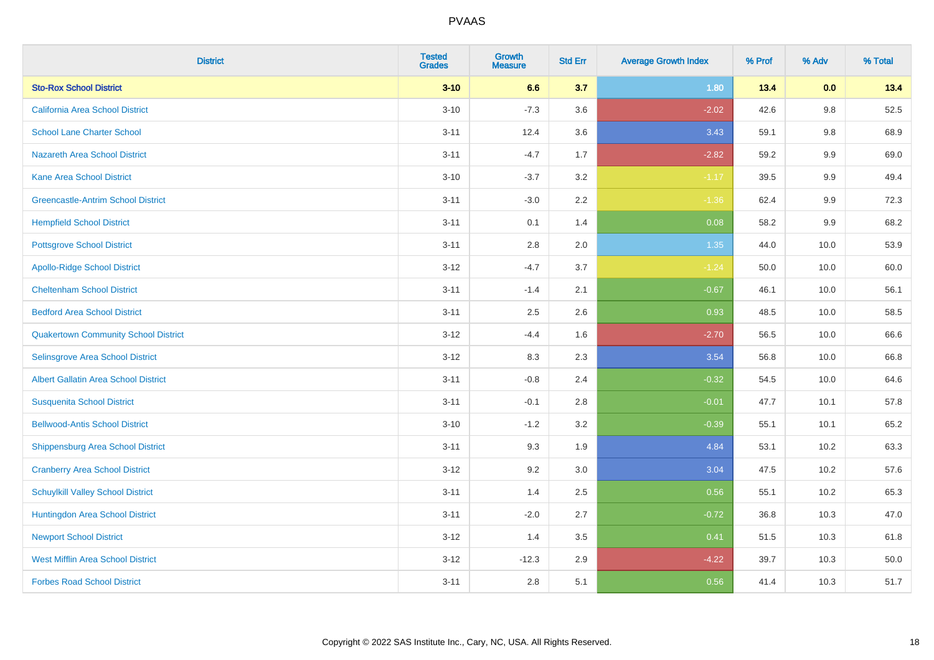| <b>District</b>                             | <b>Tested</b><br><b>Grades</b> | Growth<br><b>Measure</b> | <b>Std Err</b> | <b>Average Growth Index</b> | % Prof | % Adv   | % Total |
|---------------------------------------------|--------------------------------|--------------------------|----------------|-----------------------------|--------|---------|---------|
| <b>Sto-Rox School District</b>              | $3 - 10$                       | 6.6                      | 3.7            | 1.80                        | 13.4   | 0.0     | 13.4    |
| <b>California Area School District</b>      | $3 - 10$                       | $-7.3$                   | 3.6            | $-2.02$                     | 42.6   | $9.8\,$ | 52.5    |
| <b>School Lane Charter School</b>           | $3 - 11$                       | 12.4                     | 3.6            | 3.43                        | 59.1   | 9.8     | 68.9    |
| <b>Nazareth Area School District</b>        | $3 - 11$                       | $-4.7$                   | 1.7            | $-2.82$                     | 59.2   | 9.9     | 69.0    |
| Kane Area School District                   | $3 - 10$                       | $-3.7$                   | 3.2            | $-1.17$                     | 39.5   | $9.9\,$ | 49.4    |
| <b>Greencastle-Antrim School District</b>   | $3 - 11$                       | $-3.0$                   | 2.2            | $-1.36$                     | 62.4   | 9.9     | 72.3    |
| <b>Hempfield School District</b>            | $3 - 11$                       | 0.1                      | 1.4            | 0.08                        | 58.2   | $9.9\,$ | 68.2    |
| <b>Pottsgrove School District</b>           | $3 - 11$                       | 2.8                      | 2.0            | 1.35                        | 44.0   | 10.0    | 53.9    |
| <b>Apollo-Ridge School District</b>         | $3 - 12$                       | $-4.7$                   | 3.7            | $-1.24$                     | 50.0   | 10.0    | 60.0    |
| <b>Cheltenham School District</b>           | $3 - 11$                       | $-1.4$                   | 2.1            | $-0.67$                     | 46.1   | 10.0    | 56.1    |
| <b>Bedford Area School District</b>         | $3 - 11$                       | 2.5                      | 2.6            | 0.93                        | 48.5   | 10.0    | 58.5    |
| <b>Quakertown Community School District</b> | $3 - 12$                       | $-4.4$                   | 1.6            | $-2.70$                     | 56.5   | 10.0    | 66.6    |
| Selinsgrove Area School District            | $3 - 12$                       | 8.3                      | 2.3            | 3.54                        | 56.8   | 10.0    | 66.8    |
| Albert Gallatin Area School District        | $3 - 11$                       | $-0.8$                   | 2.4            | $-0.32$                     | 54.5   | 10.0    | 64.6    |
| <b>Susquenita School District</b>           | $3 - 11$                       | $-0.1$                   | 2.8            | $-0.01$                     | 47.7   | 10.1    | 57.8    |
| <b>Bellwood-Antis School District</b>       | $3 - 10$                       | $-1.2$                   | 3.2            | $-0.39$                     | 55.1   | 10.1    | 65.2    |
| <b>Shippensburg Area School District</b>    | $3 - 11$                       | 9.3                      | 1.9            | 4.84                        | 53.1   | 10.2    | 63.3    |
| <b>Cranberry Area School District</b>       | $3-12$                         | 9.2                      | 3.0            | 3.04                        | 47.5   | 10.2    | 57.6    |
| <b>Schuylkill Valley School District</b>    | $3 - 11$                       | 1.4                      | 2.5            | 0.56                        | 55.1   | 10.2    | 65.3    |
| Huntingdon Area School District             | $3 - 11$                       | $-2.0$                   | 2.7            | $-0.72$                     | 36.8   | 10.3    | 47.0    |
| <b>Newport School District</b>              | $3 - 12$                       | 1.4                      | 3.5            | 0.41                        | 51.5   | 10.3    | 61.8    |
| <b>West Mifflin Area School District</b>    | $3-12$                         | $-12.3$                  | 2.9            | $-4.22$                     | 39.7   | 10.3    | 50.0    |
| <b>Forbes Road School District</b>          | $3 - 11$                       | 2.8                      | 5.1            | 0.56                        | 41.4   | 10.3    | 51.7    |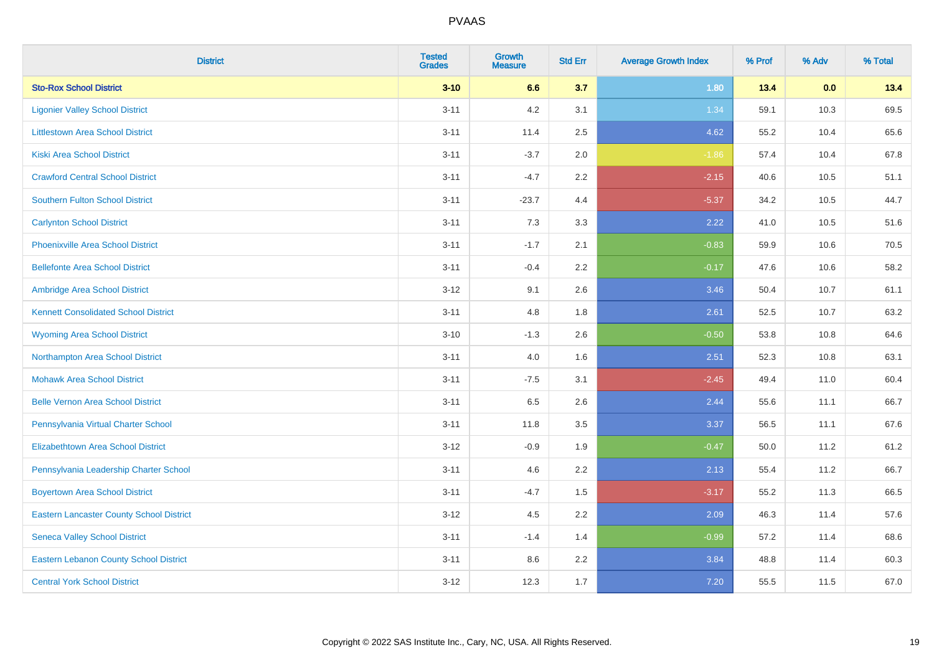| <b>District</b>                                 | <b>Tested</b><br><b>Grades</b> | <b>Growth</b><br><b>Measure</b> | <b>Std Err</b> | <b>Average Growth Index</b> | % Prof | % Adv | % Total |
|-------------------------------------------------|--------------------------------|---------------------------------|----------------|-----------------------------|--------|-------|---------|
| <b>Sto-Rox School District</b>                  | $3 - 10$                       | 6.6                             | 3.7            | 1.80                        | 13.4   | 0.0   | 13.4    |
| <b>Ligonier Valley School District</b>          | $3 - 11$                       | 4.2                             | 3.1            | 1.34                        | 59.1   | 10.3  | 69.5    |
| <b>Littlestown Area School District</b>         | $3 - 11$                       | 11.4                            | 2.5            | 4.62                        | 55.2   | 10.4  | 65.6    |
| <b>Kiski Area School District</b>               | $3 - 11$                       | $-3.7$                          | 2.0            | $-1.86$                     | 57.4   | 10.4  | 67.8    |
| <b>Crawford Central School District</b>         | $3 - 11$                       | $-4.7$                          | 2.2            | $-2.15$                     | 40.6   | 10.5  | 51.1    |
| <b>Southern Fulton School District</b>          | $3 - 11$                       | $-23.7$                         | 4.4            | $-5.37$                     | 34.2   | 10.5  | 44.7    |
| <b>Carlynton School District</b>                | $3 - 11$                       | 7.3                             | 3.3            | 2.22                        | 41.0   | 10.5  | 51.6    |
| <b>Phoenixville Area School District</b>        | $3 - 11$                       | $-1.7$                          | 2.1            | $-0.83$                     | 59.9   | 10.6  | 70.5    |
| <b>Bellefonte Area School District</b>          | $3 - 11$                       | $-0.4$                          | $2.2^{\circ}$  | $-0.17$                     | 47.6   | 10.6  | 58.2    |
| Ambridge Area School District                   | $3-12$                         | 9.1                             | 2.6            | 3.46                        | 50.4   | 10.7  | 61.1    |
| <b>Kennett Consolidated School District</b>     | $3 - 11$                       | 4.8                             | 1.8            | 2.61                        | 52.5   | 10.7  | 63.2    |
| <b>Wyoming Area School District</b>             | $3 - 10$                       | $-1.3$                          | 2.6            | $-0.50$                     | 53.8   | 10.8  | 64.6    |
| Northampton Area School District                | $3 - 11$                       | 4.0                             | 1.6            | 2.51                        | 52.3   | 10.8  | 63.1    |
| <b>Mohawk Area School District</b>              | $3 - 11$                       | $-7.5$                          | 3.1            | $-2.45$                     | 49.4   | 11.0  | 60.4    |
| <b>Belle Vernon Area School District</b>        | $3 - 11$                       | 6.5                             | 2.6            | 2.44                        | 55.6   | 11.1  | 66.7    |
| Pennsylvania Virtual Charter School             | $3 - 11$                       | 11.8                            | 3.5            | 3.37                        | 56.5   | 11.1  | 67.6    |
| <b>Elizabethtown Area School District</b>       | $3-12$                         | $-0.9$                          | 1.9            | $-0.47$                     | 50.0   | 11.2  | 61.2    |
| Pennsylvania Leadership Charter School          | $3 - 11$                       | 4.6                             | 2.2            | 2.13                        | 55.4   | 11.2  | 66.7    |
| <b>Boyertown Area School District</b>           | $3 - 11$                       | $-4.7$                          | 1.5            | $-3.17$                     | 55.2   | 11.3  | 66.5    |
| <b>Eastern Lancaster County School District</b> | $3 - 12$                       | 4.5                             | 2.2            | 2.09                        | 46.3   | 11.4  | 57.6    |
| <b>Seneca Valley School District</b>            | $3 - 11$                       | $-1.4$                          | 1.4            | $-0.99$                     | 57.2   | 11.4  | 68.6    |
| <b>Eastern Lebanon County School District</b>   | $3 - 11$                       | 8.6                             | 2.2            | 3.84                        | 48.8   | 11.4  | 60.3    |
| <b>Central York School District</b>             | $3 - 12$                       | 12.3                            | 1.7            | 7.20                        | 55.5   | 11.5  | 67.0    |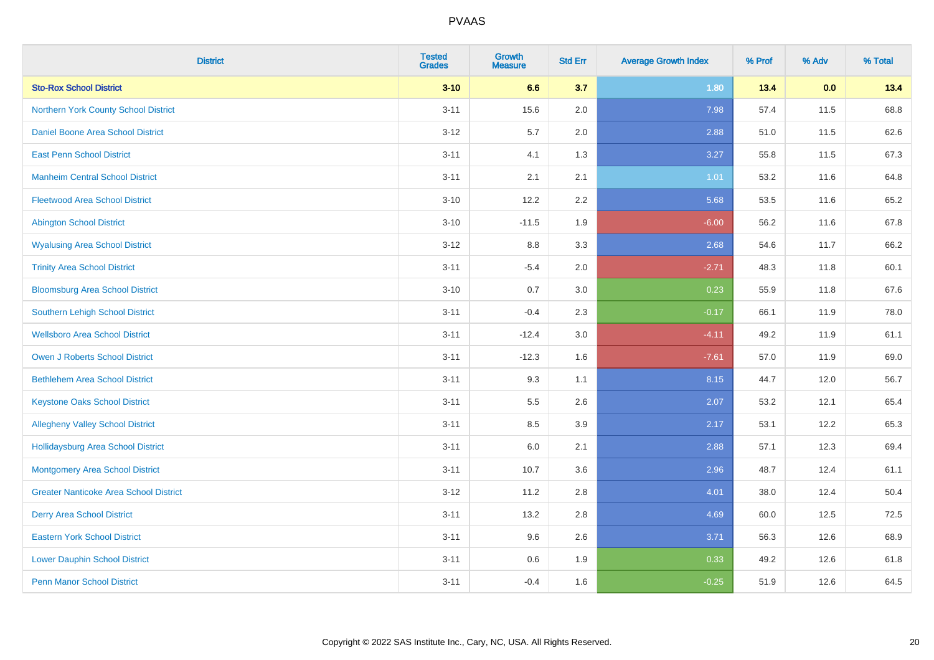| <b>District</b>                               | <b>Tested</b><br><b>Grades</b> | <b>Growth</b><br><b>Measure</b> | <b>Std Err</b> | <b>Average Growth Index</b> | % Prof | % Adv | % Total |
|-----------------------------------------------|--------------------------------|---------------------------------|----------------|-----------------------------|--------|-------|---------|
| <b>Sto-Rox School District</b>                | $3 - 10$                       | 6.6                             | 3.7            | 1.80                        | 13.4   | 0.0   | 13.4    |
| <b>Northern York County School District</b>   | $3 - 11$                       | 15.6                            | 2.0            | 7.98                        | 57.4   | 11.5  | 68.8    |
| Daniel Boone Area School District             | $3 - 12$                       | 5.7                             | 2.0            | 2.88                        | 51.0   | 11.5  | 62.6    |
| <b>East Penn School District</b>              | $3 - 11$                       | 4.1                             | 1.3            | 3.27                        | 55.8   | 11.5  | 67.3    |
| <b>Manheim Central School District</b>        | $3 - 11$                       | 2.1                             | 2.1            | 1.01                        | 53.2   | 11.6  | 64.8    |
| <b>Fleetwood Area School District</b>         | $3 - 10$                       | 12.2                            | 2.2            | 5.68                        | 53.5   | 11.6  | 65.2    |
| <b>Abington School District</b>               | $3 - 10$                       | $-11.5$                         | 1.9            | $-6.00$                     | 56.2   | 11.6  | 67.8    |
| <b>Wyalusing Area School District</b>         | $3 - 12$                       | $8.8\,$                         | 3.3            | 2.68                        | 54.6   | 11.7  | 66.2    |
| <b>Trinity Area School District</b>           | $3 - 11$                       | $-5.4$                          | 2.0            | $-2.71$                     | 48.3   | 11.8  | 60.1    |
| <b>Bloomsburg Area School District</b>        | $3 - 10$                       | 0.7                             | 3.0            | 0.23                        | 55.9   | 11.8  | 67.6    |
| Southern Lehigh School District               | $3 - 11$                       | $-0.4$                          | 2.3            | $-0.17$                     | 66.1   | 11.9  | 78.0    |
| <b>Wellsboro Area School District</b>         | $3 - 11$                       | $-12.4$                         | 3.0            | $-4.11$                     | 49.2   | 11.9  | 61.1    |
| <b>Owen J Roberts School District</b>         | $3 - 11$                       | $-12.3$                         | 1.6            | $-7.61$                     | 57.0   | 11.9  | 69.0    |
| <b>Bethlehem Area School District</b>         | $3 - 11$                       | 9.3                             | 1.1            | 8.15                        | 44.7   | 12.0  | 56.7    |
| <b>Keystone Oaks School District</b>          | $3 - 11$                       | 5.5                             | 2.6            | 2.07                        | 53.2   | 12.1  | 65.4    |
| <b>Allegheny Valley School District</b>       | $3 - 11$                       | 8.5                             | 3.9            | 2.17                        | 53.1   | 12.2  | 65.3    |
| <b>Hollidaysburg Area School District</b>     | $3 - 11$                       | 6.0                             | 2.1            | 2.88                        | 57.1   | 12.3  | 69.4    |
| <b>Montgomery Area School District</b>        | $3 - 11$                       | 10.7                            | 3.6            | 2.96                        | 48.7   | 12.4  | 61.1    |
| <b>Greater Nanticoke Area School District</b> | $3 - 12$                       | 11.2                            | 2.8            | 4.01                        | 38.0   | 12.4  | 50.4    |
| <b>Derry Area School District</b>             | $3 - 11$                       | 13.2                            | 2.8            | 4.69                        | 60.0   | 12.5  | 72.5    |
| <b>Eastern York School District</b>           | $3 - 11$                       | 9.6                             | 2.6            | 3.71                        | 56.3   | 12.6  | 68.9    |
| <b>Lower Dauphin School District</b>          | $3 - 11$                       | 0.6                             | 1.9            | 0.33                        | 49.2   | 12.6  | 61.8    |
| <b>Penn Manor School District</b>             | $3 - 11$                       | $-0.4$                          | 1.6            | $-0.25$                     | 51.9   | 12.6  | 64.5    |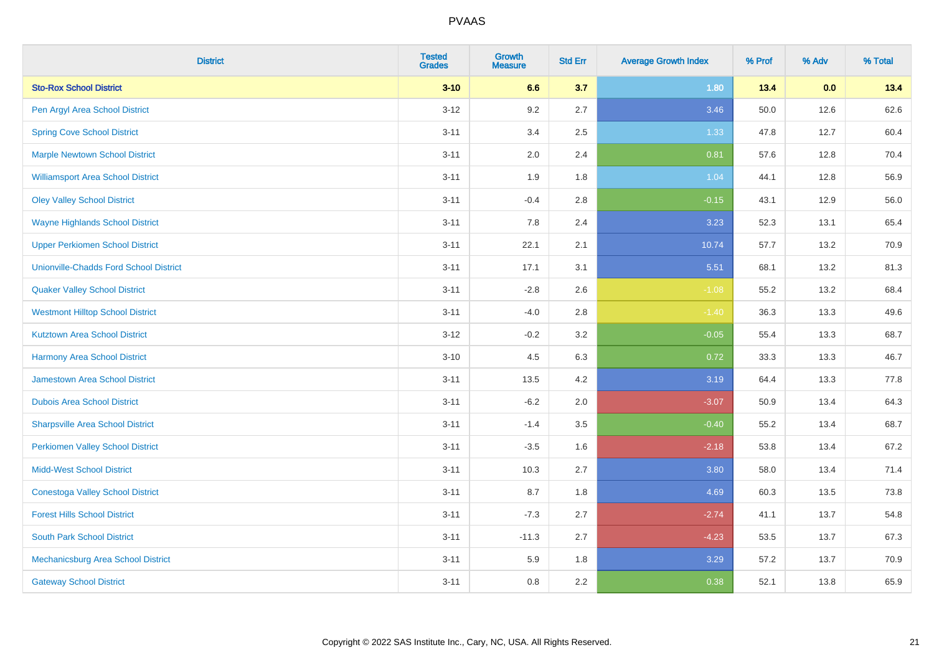| <b>District</b>                               | <b>Tested</b><br><b>Grades</b> | Growth<br><b>Measure</b> | <b>Std Err</b> | <b>Average Growth Index</b> | % Prof | % Adv | % Total |
|-----------------------------------------------|--------------------------------|--------------------------|----------------|-----------------------------|--------|-------|---------|
| <b>Sto-Rox School District</b>                | $3 - 10$                       | 6.6                      | 3.7            | 1.80                        | 13.4   | 0.0   | 13.4    |
| Pen Argyl Area School District                | $3 - 12$                       | 9.2                      | 2.7            | 3.46                        | 50.0   | 12.6  | 62.6    |
| <b>Spring Cove School District</b>            | $3 - 11$                       | 3.4                      | 2.5            | 1.33                        | 47.8   | 12.7  | 60.4    |
| <b>Marple Newtown School District</b>         | $3 - 11$                       | 2.0                      | 2.4            | 0.81                        | 57.6   | 12.8  | 70.4    |
| <b>Williamsport Area School District</b>      | $3 - 11$                       | 1.9                      | 1.8            | 1.04                        | 44.1   | 12.8  | 56.9    |
| <b>Oley Valley School District</b>            | $3 - 11$                       | $-0.4$                   | 2.8            | $-0.15$                     | 43.1   | 12.9  | 56.0    |
| <b>Wayne Highlands School District</b>        | $3 - 11$                       | 7.8                      | 2.4            | 3.23                        | 52.3   | 13.1  | 65.4    |
| <b>Upper Perkiomen School District</b>        | $3 - 11$                       | 22.1                     | 2.1            | 10.74                       | 57.7   | 13.2  | 70.9    |
| <b>Unionville-Chadds Ford School District</b> | $3 - 11$                       | 17.1                     | 3.1            | 5.51                        | 68.1   | 13.2  | 81.3    |
| <b>Quaker Valley School District</b>          | $3 - 11$                       | $-2.8$                   | 2.6            | $-1.08$                     | 55.2   | 13.2  | 68.4    |
| <b>Westmont Hilltop School District</b>       | $3 - 11$                       | $-4.0$                   | 2.8            | $-1.40$                     | 36.3   | 13.3  | 49.6    |
| <b>Kutztown Area School District</b>          | $3 - 12$                       | $-0.2$                   | 3.2            | $-0.05$                     | 55.4   | 13.3  | 68.7    |
| <b>Harmony Area School District</b>           | $3 - 10$                       | 4.5                      | 6.3            | 0.72                        | 33.3   | 13.3  | 46.7    |
| Jamestown Area School District                | $3 - 11$                       | 13.5                     | 4.2            | 3.19                        | 64.4   | 13.3  | 77.8    |
| <b>Dubois Area School District</b>            | $3 - 11$                       | $-6.2$                   | 2.0            | $-3.07$                     | 50.9   | 13.4  | 64.3    |
| <b>Sharpsville Area School District</b>       | $3 - 11$                       | $-1.4$                   | 3.5            | $-0.40$                     | 55.2   | 13.4  | 68.7    |
| <b>Perkiomen Valley School District</b>       | $3 - 11$                       | $-3.5$                   | 1.6            | $-2.18$                     | 53.8   | 13.4  | 67.2    |
| <b>Midd-West School District</b>              | $3 - 11$                       | 10.3                     | 2.7            | 3.80                        | 58.0   | 13.4  | 71.4    |
| <b>Conestoga Valley School District</b>       | $3 - 11$                       | 8.7                      | 1.8            | 4.69                        | 60.3   | 13.5  | 73.8    |
| <b>Forest Hills School District</b>           | $3 - 11$                       | $-7.3$                   | 2.7            | $-2.74$                     | 41.1   | 13.7  | 54.8    |
| <b>South Park School District</b>             | $3 - 11$                       | $-11.3$                  | 2.7            | $-4.23$                     | 53.5   | 13.7  | 67.3    |
| Mechanicsburg Area School District            | $3 - 11$                       | 5.9                      | 1.8            | 3.29                        | 57.2   | 13.7  | 70.9    |
| <b>Gateway School District</b>                | $3 - 11$                       | 0.8                      | 2.2            | 0.38                        | 52.1   | 13.8  | 65.9    |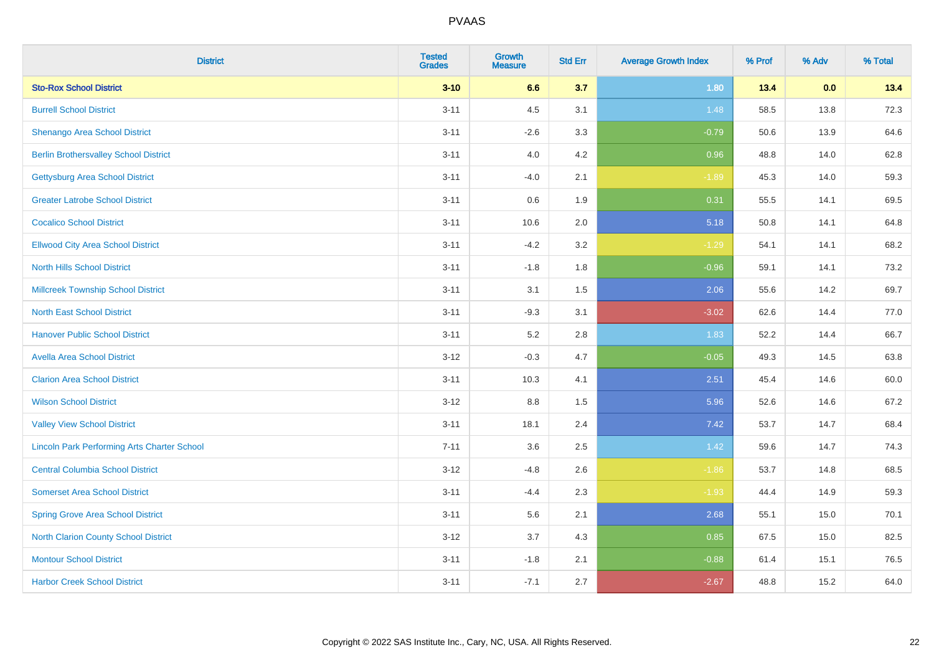| <b>District</b>                                    | <b>Tested</b><br><b>Grades</b> | <b>Growth</b><br><b>Measure</b> | <b>Std Err</b> | <b>Average Growth Index</b> | % Prof | % Adv | % Total |
|----------------------------------------------------|--------------------------------|---------------------------------|----------------|-----------------------------|--------|-------|---------|
| <b>Sto-Rox School District</b>                     | $3 - 10$                       | 6.6                             | 3.7            | 1.80                        | 13.4   | 0.0   | 13.4    |
| <b>Burrell School District</b>                     | $3 - 11$                       | 4.5                             | 3.1            | 1.48                        | 58.5   | 13.8  | 72.3    |
| Shenango Area School District                      | $3 - 11$                       | $-2.6$                          | 3.3            | $-0.79$                     | 50.6   | 13.9  | 64.6    |
| <b>Berlin Brothersvalley School District</b>       | $3 - 11$                       | 4.0                             | 4.2            | 0.96                        | 48.8   | 14.0  | 62.8    |
| <b>Gettysburg Area School District</b>             | $3 - 11$                       | $-4.0$                          | 2.1            | $-1.89$                     | 45.3   | 14.0  | 59.3    |
| <b>Greater Latrobe School District</b>             | $3 - 11$                       | 0.6                             | 1.9            | 0.31                        | 55.5   | 14.1  | 69.5    |
| <b>Cocalico School District</b>                    | $3 - 11$                       | 10.6                            | 2.0            | 5.18                        | 50.8   | 14.1  | 64.8    |
| <b>Ellwood City Area School District</b>           | $3 - 11$                       | $-4.2$                          | 3.2            | $-1.29$                     | 54.1   | 14.1  | 68.2    |
| <b>North Hills School District</b>                 | $3 - 11$                       | $-1.8$                          | 1.8            | $-0.96$                     | 59.1   | 14.1  | 73.2    |
| <b>Millcreek Township School District</b>          | $3 - 11$                       | 3.1                             | 1.5            | 2.06                        | 55.6   | 14.2  | 69.7    |
| <b>North East School District</b>                  | $3 - 11$                       | $-9.3$                          | 3.1            | $-3.02$                     | 62.6   | 14.4  | 77.0    |
| <b>Hanover Public School District</b>              | $3 - 11$                       | 5.2                             | 2.8            | 1.83                        | 52.2   | 14.4  | 66.7    |
| <b>Avella Area School District</b>                 | $3 - 12$                       | $-0.3$                          | 4.7            | $-0.05$                     | 49.3   | 14.5  | 63.8    |
| <b>Clarion Area School District</b>                | $3 - 11$                       | 10.3                            | 4.1            | 2.51                        | 45.4   | 14.6  | 60.0    |
| <b>Wilson School District</b>                      | $3 - 12$                       | $8.8\,$                         | 1.5            | 5.96                        | 52.6   | 14.6  | 67.2    |
| <b>Valley View School District</b>                 | $3 - 11$                       | 18.1                            | 2.4            | 7.42                        | 53.7   | 14.7  | 68.4    |
| <b>Lincoln Park Performing Arts Charter School</b> | $7 - 11$                       | 3.6                             | 2.5            | 1.42                        | 59.6   | 14.7  | 74.3    |
| <b>Central Columbia School District</b>            | $3 - 12$                       | $-4.8$                          | 2.6            | $-1.86$                     | 53.7   | 14.8  | 68.5    |
| <b>Somerset Area School District</b>               | $3 - 11$                       | $-4.4$                          | 2.3            | $-1.93$                     | 44.4   | 14.9  | 59.3    |
| <b>Spring Grove Area School District</b>           | $3 - 11$                       | 5.6                             | 2.1            | 2.68                        | 55.1   | 15.0  | 70.1    |
| <b>North Clarion County School District</b>        | $3 - 12$                       | 3.7                             | 4.3            | 0.85                        | 67.5   | 15.0  | 82.5    |
| <b>Montour School District</b>                     | $3 - 11$                       | $-1.8$                          | 2.1            | $-0.88$                     | 61.4   | 15.1  | 76.5    |
| <b>Harbor Creek School District</b>                | $3 - 11$                       | $-7.1$                          | 2.7            | $-2.67$                     | 48.8   | 15.2  | 64.0    |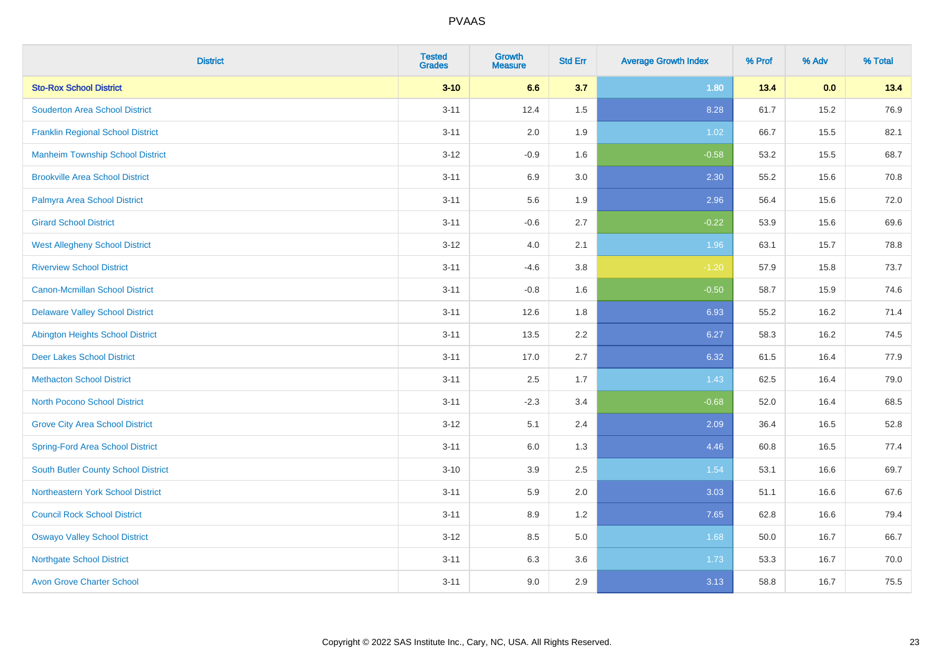| <b>District</b>                            | <b>Tested</b><br><b>Grades</b> | Growth<br><b>Measure</b> | <b>Std Err</b> | <b>Average Growth Index</b> | % Prof | % Adv | % Total |
|--------------------------------------------|--------------------------------|--------------------------|----------------|-----------------------------|--------|-------|---------|
| <b>Sto-Rox School District</b>             | $3 - 10$                       | 6.6                      | 3.7            | 1.80                        | 13.4   | 0.0   | 13.4    |
| <b>Souderton Area School District</b>      | $3 - 11$                       | 12.4                     | 1.5            | 8.28                        | 61.7   | 15.2  | 76.9    |
| <b>Franklin Regional School District</b>   | $3 - 11$                       | 2.0                      | 1.9            | 1.02                        | 66.7   | 15.5  | 82.1    |
| <b>Manheim Township School District</b>    | $3 - 12$                       | $-0.9$                   | 1.6            | $-0.58$                     | 53.2   | 15.5  | 68.7    |
| <b>Brookville Area School District</b>     | $3 - 11$                       | 6.9                      | 3.0            | 2.30                        | 55.2   | 15.6  | 70.8    |
| Palmyra Area School District               | $3 - 11$                       | 5.6                      | 1.9            | 2.96                        | 56.4   | 15.6  | 72.0    |
| <b>Girard School District</b>              | $3 - 11$                       | $-0.6$                   | 2.7            | $-0.22$                     | 53.9   | 15.6  | 69.6    |
| <b>West Allegheny School District</b>      | $3 - 12$                       | $4.0\,$                  | 2.1            | 1.96                        | 63.1   | 15.7  | 78.8    |
| <b>Riverview School District</b>           | $3 - 11$                       | $-4.6$                   | 3.8            | $-1.20$                     | 57.9   | 15.8  | 73.7    |
| <b>Canon-Mcmillan School District</b>      | $3 - 11$                       | $-0.8$                   | 1.6            | $-0.50$                     | 58.7   | 15.9  | 74.6    |
| <b>Delaware Valley School District</b>     | $3 - 11$                       | 12.6                     | 1.8            | 6.93                        | 55.2   | 16.2  | 71.4    |
| <b>Abington Heights School District</b>    | $3 - 11$                       | 13.5                     | 2.2            | 6.27                        | 58.3   | 16.2  | 74.5    |
| <b>Deer Lakes School District</b>          | $3 - 11$                       | 17.0                     | 2.7            | 6.32                        | 61.5   | 16.4  | 77.9    |
| <b>Methacton School District</b>           | $3 - 11$                       | 2.5                      | 1.7            | 1.43                        | 62.5   | 16.4  | 79.0    |
| <b>North Pocono School District</b>        | $3 - 11$                       | $-2.3$                   | 3.4            | $-0.68$                     | 52.0   | 16.4  | 68.5    |
| <b>Grove City Area School District</b>     | $3 - 12$                       | 5.1                      | 2.4            | 2.09                        | 36.4   | 16.5  | 52.8    |
| <b>Spring-Ford Area School District</b>    | $3 - 11$                       | 6.0                      | 1.3            | 4.46                        | 60.8   | 16.5  | 77.4    |
| <b>South Butler County School District</b> | $3 - 10$                       | 3.9                      | 2.5            | 1.54                        | 53.1   | 16.6  | 69.7    |
| Northeastern York School District          | $3 - 11$                       | 5.9                      | 2.0            | 3.03                        | 51.1   | 16.6  | 67.6    |
| <b>Council Rock School District</b>        | $3 - 11$                       | 8.9                      | 1.2            | 7.65                        | 62.8   | 16.6  | 79.4    |
| <b>Oswayo Valley School District</b>       | $3 - 12$                       | 8.5                      | 5.0            | 1.68                        | 50.0   | 16.7  | 66.7    |
| <b>Northgate School District</b>           | $3 - 11$                       | 6.3                      | 3.6            | 1.73                        | 53.3   | 16.7  | 70.0    |
| <b>Avon Grove Charter School</b>           | $3 - 11$                       | 9.0                      | 2.9            | 3.13                        | 58.8   | 16.7  | 75.5    |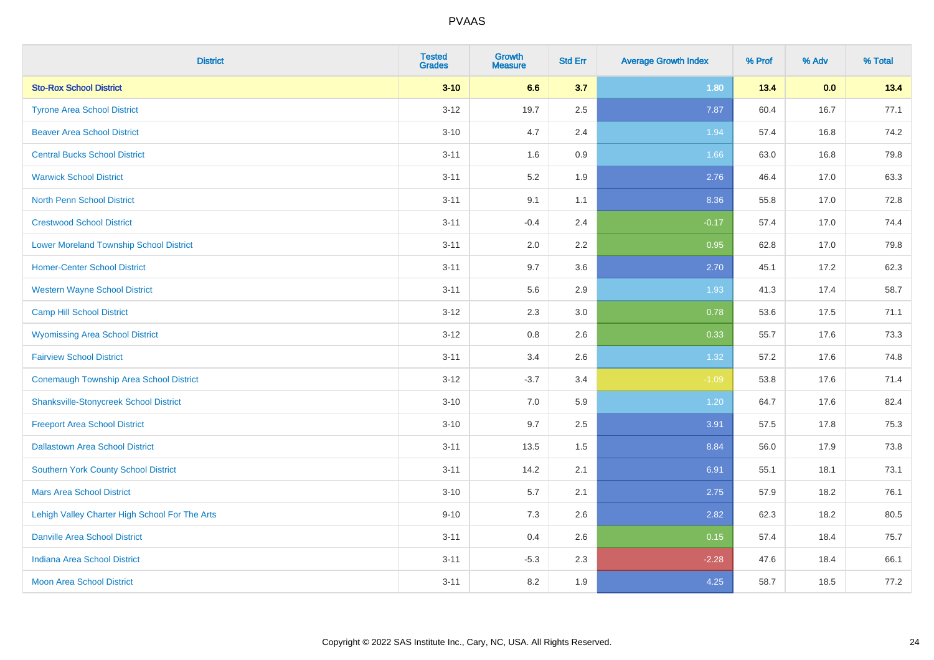| <b>District</b>                                | <b>Tested</b><br><b>Grades</b> | <b>Growth</b><br><b>Measure</b> | <b>Std Err</b> | <b>Average Growth Index</b> | % Prof | % Adv | % Total |
|------------------------------------------------|--------------------------------|---------------------------------|----------------|-----------------------------|--------|-------|---------|
| <b>Sto-Rox School District</b>                 | $3 - 10$                       | 6.6                             | 3.7            | 1.80                        | 13.4   | 0.0   | 13.4    |
| <b>Tyrone Area School District</b>             | $3 - 12$                       | 19.7                            | 2.5            | 7.87                        | 60.4   | 16.7  | 77.1    |
| <b>Beaver Area School District</b>             | $3 - 10$                       | 4.7                             | 2.4            | 1.94                        | 57.4   | 16.8  | 74.2    |
| <b>Central Bucks School District</b>           | $3 - 11$                       | 1.6                             | $0.9\,$        | 1.66                        | 63.0   | 16.8  | 79.8    |
| <b>Warwick School District</b>                 | $3 - 11$                       | 5.2                             | 1.9            | 2.76                        | 46.4   | 17.0  | 63.3    |
| <b>North Penn School District</b>              | $3 - 11$                       | 9.1                             | 1.1            | 8.36                        | 55.8   | 17.0  | 72.8    |
| <b>Crestwood School District</b>               | $3 - 11$                       | $-0.4$                          | 2.4            | $-0.17$                     | 57.4   | 17.0  | 74.4    |
| <b>Lower Moreland Township School District</b> | $3 - 11$                       | 2.0                             | 2.2            | 0.95                        | 62.8   | 17.0  | 79.8    |
| <b>Homer-Center School District</b>            | $3 - 11$                       | 9.7                             | 3.6            | 2.70                        | 45.1   | 17.2  | 62.3    |
| <b>Western Wayne School District</b>           | $3 - 11$                       | 5.6                             | 2.9            | 1.93                        | 41.3   | 17.4  | 58.7    |
| <b>Camp Hill School District</b>               | $3 - 12$                       | 2.3                             | 3.0            | 0.78                        | 53.6   | 17.5  | 71.1    |
| <b>Wyomissing Area School District</b>         | $3 - 12$                       | 0.8                             | 2.6            | 0.33                        | 55.7   | 17.6  | 73.3    |
| <b>Fairview School District</b>                | $3 - 11$                       | 3.4                             | 2.6            | 1.32                        | 57.2   | 17.6  | 74.8    |
| <b>Conemaugh Township Area School District</b> | $3-12$                         | $-3.7$                          | 3.4            | $-1.09$                     | 53.8   | 17.6  | 71.4    |
| <b>Shanksville-Stonycreek School District</b>  | $3 - 10$                       | 7.0                             | 5.9            | 1.20                        | 64.7   | 17.6  | 82.4    |
| <b>Freeport Area School District</b>           | $3 - 10$                       | 9.7                             | 2.5            | 3.91                        | 57.5   | 17.8  | 75.3    |
| <b>Dallastown Area School District</b>         | $3 - 11$                       | 13.5                            | 1.5            | 8.84                        | 56.0   | 17.9  | 73.8    |
| Southern York County School District           | $3 - 11$                       | 14.2                            | 2.1            | 6.91                        | 55.1   | 18.1  | 73.1    |
| <b>Mars Area School District</b>               | $3 - 10$                       | 5.7                             | 2.1            | 2.75                        | 57.9   | 18.2  | 76.1    |
| Lehigh Valley Charter High School For The Arts | $9 - 10$                       | 7.3                             | 2.6            | 2.82                        | 62.3   | 18.2  | 80.5    |
| <b>Danville Area School District</b>           | $3 - 11$                       | 0.4                             | 2.6            | 0.15                        | 57.4   | 18.4  | 75.7    |
| <b>Indiana Area School District</b>            | $3 - 11$                       | $-5.3$                          | 2.3            | $-2.28$                     | 47.6   | 18.4  | 66.1    |
| <b>Moon Area School District</b>               | $3 - 11$                       | 8.2                             | 1.9            | 4.25                        | 58.7   | 18.5  | 77.2    |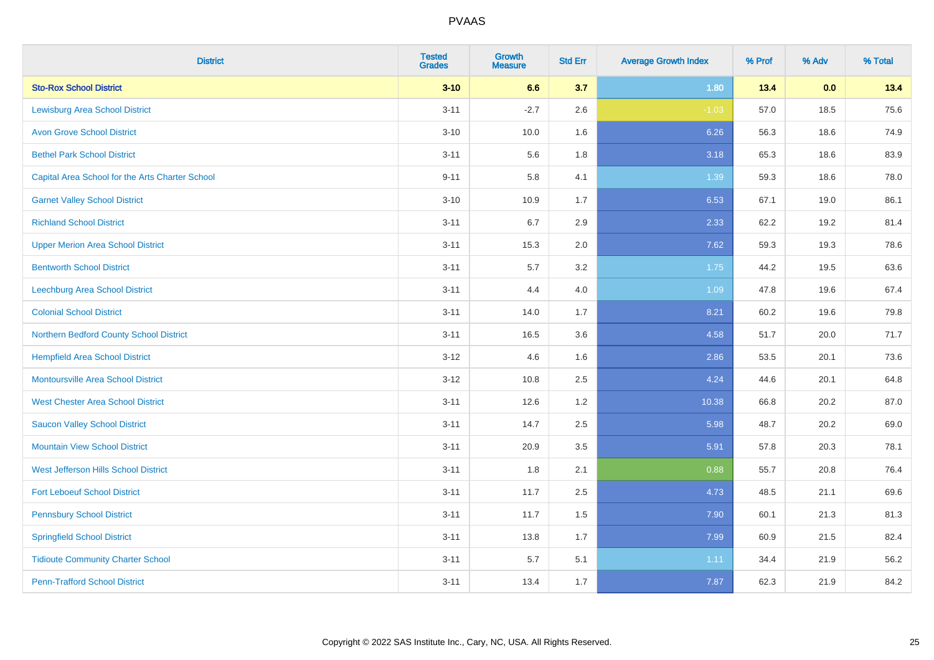| <b>District</b>                                 | <b>Tested</b><br><b>Grades</b> | <b>Growth</b><br><b>Measure</b> | <b>Std Err</b> | <b>Average Growth Index</b> | % Prof | % Adv | % Total |
|-------------------------------------------------|--------------------------------|---------------------------------|----------------|-----------------------------|--------|-------|---------|
| <b>Sto-Rox School District</b>                  | $3 - 10$                       | 6.6                             | 3.7            | 1.80                        | 13.4   | 0.0   | 13.4    |
| <b>Lewisburg Area School District</b>           | $3 - 11$                       | $-2.7$                          | 2.6            | $-1.03$                     | 57.0   | 18.5  | 75.6    |
| <b>Avon Grove School District</b>               | $3 - 10$                       | 10.0                            | 1.6            | 6.26                        | 56.3   | 18.6  | 74.9    |
| <b>Bethel Park School District</b>              | $3 - 11$                       | 5.6                             | 1.8            | 3.18                        | 65.3   | 18.6  | 83.9    |
| Capital Area School for the Arts Charter School | $9 - 11$                       | 5.8                             | 4.1            | 1.39                        | 59.3   | 18.6  | 78.0    |
| <b>Garnet Valley School District</b>            | $3 - 10$                       | 10.9                            | 1.7            | 6.53                        | 67.1   | 19.0  | 86.1    |
| <b>Richland School District</b>                 | $3 - 11$                       | 6.7                             | 2.9            | 2.33                        | 62.2   | 19.2  | 81.4    |
| <b>Upper Merion Area School District</b>        | $3 - 11$                       | 15.3                            | 2.0            | 7.62                        | 59.3   | 19.3  | 78.6    |
| <b>Bentworth School District</b>                | $3 - 11$                       | 5.7                             | 3.2            | 1.75                        | 44.2   | 19.5  | 63.6    |
| Leechburg Area School District                  | $3 - 11$                       | 4.4                             | 4.0            | 1.09                        | 47.8   | 19.6  | 67.4    |
| <b>Colonial School District</b>                 | $3 - 11$                       | 14.0                            | 1.7            | 8.21                        | 60.2   | 19.6  | 79.8    |
| Northern Bedford County School District         | $3 - 11$                       | 16.5                            | 3.6            | 4.58                        | 51.7   | 20.0  | 71.7    |
| <b>Hempfield Area School District</b>           | $3 - 12$                       | 4.6                             | 1.6            | 2.86                        | 53.5   | 20.1  | 73.6    |
| <b>Montoursville Area School District</b>       | $3 - 12$                       | 10.8                            | 2.5            | 4.24                        | 44.6   | 20.1  | 64.8    |
| <b>West Chester Area School District</b>        | $3 - 11$                       | 12.6                            | 1.2            | 10.38                       | 66.8   | 20.2  | 87.0    |
| <b>Saucon Valley School District</b>            | $3 - 11$                       | 14.7                            | 2.5            | 5.98                        | 48.7   | 20.2  | 69.0    |
| <b>Mountain View School District</b>            | $3 - 11$                       | 20.9                            | 3.5            | 5.91                        | 57.8   | 20.3  | 78.1    |
| West Jefferson Hills School District            | $3 - 11$                       | 1.8                             | 2.1            | 0.88                        | 55.7   | 20.8  | 76.4    |
| <b>Fort Leboeuf School District</b>             | $3 - 11$                       | 11.7                            | 2.5            | 4.73                        | 48.5   | 21.1  | 69.6    |
| <b>Pennsbury School District</b>                | $3 - 11$                       | 11.7                            | 1.5            | 7.90                        | 60.1   | 21.3  | 81.3    |
| <b>Springfield School District</b>              | $3 - 11$                       | 13.8                            | 1.7            | 7.99                        | 60.9   | 21.5  | 82.4    |
| <b>Tidioute Community Charter School</b>        | $3 - 11$                       | 5.7                             | 5.1            | 1.11                        | 34.4   | 21.9  | 56.2    |
| <b>Penn-Trafford School District</b>            | $3 - 11$                       | 13.4                            | 1.7            | 7.87                        | 62.3   | 21.9  | 84.2    |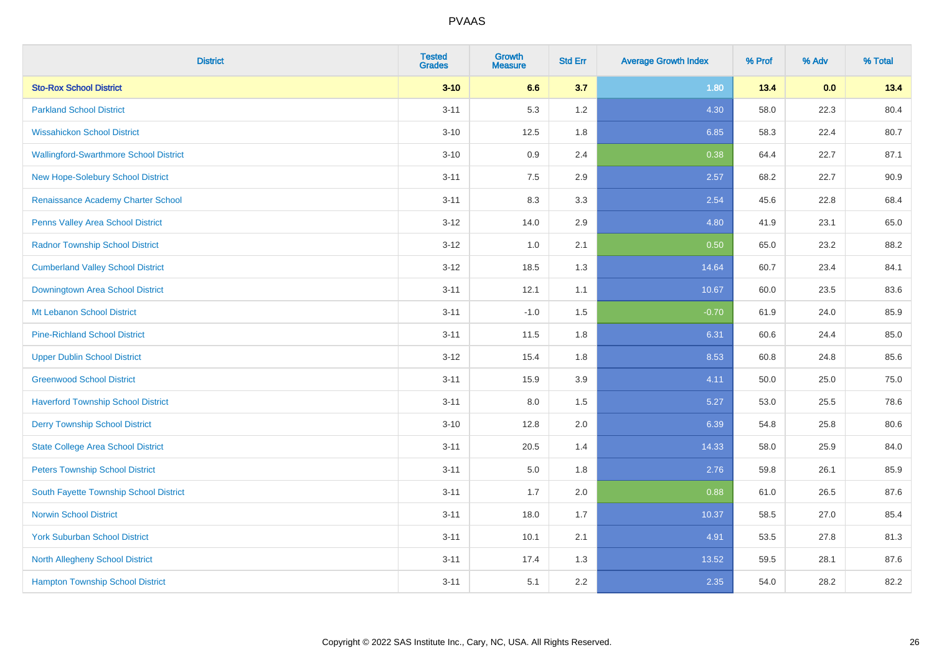| <b>District</b>                               | <b>Tested</b><br><b>Grades</b> | <b>Growth</b><br><b>Measure</b> | <b>Std Err</b> | <b>Average Growth Index</b> | % Prof | % Adv | % Total |
|-----------------------------------------------|--------------------------------|---------------------------------|----------------|-----------------------------|--------|-------|---------|
| <b>Sto-Rox School District</b>                | $3 - 10$                       | 6.6                             | 3.7            | 1.80                        | 13.4   | 0.0   | 13.4    |
| <b>Parkland School District</b>               | $3 - 11$                       | 5.3                             | 1.2            | 4.30                        | 58.0   | 22.3  | 80.4    |
| <b>Wissahickon School District</b>            | $3 - 10$                       | 12.5                            | 1.8            | 6.85                        | 58.3   | 22.4  | 80.7    |
| <b>Wallingford-Swarthmore School District</b> | $3 - 10$                       | 0.9                             | 2.4            | 0.38                        | 64.4   | 22.7  | 87.1    |
| New Hope-Solebury School District             | $3 - 11$                       | 7.5                             | 2.9            | 2.57                        | 68.2   | 22.7  | 90.9    |
| Renaissance Academy Charter School            | $3 - 11$                       | 8.3                             | 3.3            | 2.54                        | 45.6   | 22.8  | 68.4    |
| Penns Valley Area School District             | $3 - 12$                       | 14.0                            | 2.9            | 4.80                        | 41.9   | 23.1  | 65.0    |
| <b>Radnor Township School District</b>        | $3 - 12$                       | 1.0                             | 2.1            | 0.50                        | 65.0   | 23.2  | 88.2    |
| <b>Cumberland Valley School District</b>      | $3 - 12$                       | 18.5                            | 1.3            | 14.64                       | 60.7   | 23.4  | 84.1    |
| Downingtown Area School District              | $3 - 11$                       | 12.1                            | 1.1            | 10.67                       | 60.0   | 23.5  | 83.6    |
| Mt Lebanon School District                    | $3 - 11$                       | $-1.0$                          | 1.5            | $-0.70$                     | 61.9   | 24.0  | 85.9    |
| <b>Pine-Richland School District</b>          | $3 - 11$                       | 11.5                            | 1.8            | 6.31                        | 60.6   | 24.4  | 85.0    |
| <b>Upper Dublin School District</b>           | $3 - 12$                       | 15.4                            | 1.8            | 8.53                        | 60.8   | 24.8  | 85.6    |
| <b>Greenwood School District</b>              | $3 - 11$                       | 15.9                            | 3.9            | 4.11                        | 50.0   | 25.0  | 75.0    |
| <b>Haverford Township School District</b>     | $3 - 11$                       | 8.0                             | 1.5            | 5.27                        | 53.0   | 25.5  | 78.6    |
| <b>Derry Township School District</b>         | $3 - 10$                       | 12.8                            | 2.0            | 6.39                        | 54.8   | 25.8  | 80.6    |
| <b>State College Area School District</b>     | $3 - 11$                       | 20.5                            | 1.4            | 14.33                       | 58.0   | 25.9  | 84.0    |
| <b>Peters Township School District</b>        | $3 - 11$                       | 5.0                             | 1.8            | 2.76                        | 59.8   | 26.1  | 85.9    |
| South Fayette Township School District        | $3 - 11$                       | 1.7                             | 2.0            | 0.88                        | 61.0   | 26.5  | 87.6    |
| <b>Norwin School District</b>                 | $3 - 11$                       | 18.0                            | 1.7            | 10.37                       | 58.5   | 27.0  | 85.4    |
| <b>York Suburban School District</b>          | $3 - 11$                       | 10.1                            | 2.1            | 4.91                        | 53.5   | 27.8  | 81.3    |
| <b>North Allegheny School District</b>        | $3 - 11$                       | 17.4                            | 1.3            | 13.52                       | 59.5   | 28.1  | 87.6    |
| <b>Hampton Township School District</b>       | $3 - 11$                       | 5.1                             | 2.2            | 2.35                        | 54.0   | 28.2  | 82.2    |